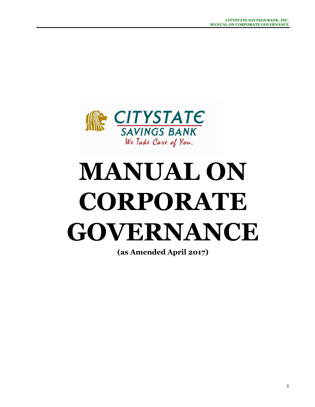

# **MANUAL ON CORPORATE GOVERNANCE**

**(as Amended April 2017)**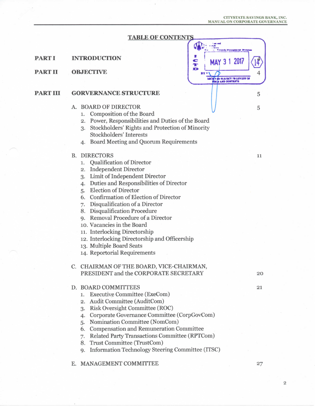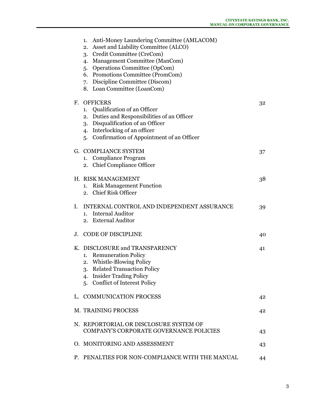| Anti-Money Laundering Committee (AMLACOM)<br>1.<br>Asset and Liability Committee (ALCO)<br>2.<br>3. Credit Committee (CreCom)<br>4. Management Committee (ManCom)<br><b>Operations Committee (OpCom)</b><br>5.<br>6. Promotions Committee (PromCom)<br>7. Discipline Committee (Discom)<br>8. Loan Committee (LoanCom) |    |
|------------------------------------------------------------------------------------------------------------------------------------------------------------------------------------------------------------------------------------------------------------------------------------------------------------------------|----|
| <b>OFFICERS</b><br>F.<br>Qualification of an Officer<br>1.<br>Duties and Responsibilities of an Officer<br>2.<br>Disqualification of an Officer<br>3.<br>4. Interlocking of an officer<br>5. Confirmation of Appointment of an Officer                                                                                 | 32 |
| G. COMPLIANCE SYSTEM<br>Compliance Program<br>1.<br>2. Chief Compliance Officer                                                                                                                                                                                                                                        | 37 |
| H. RISK MANAGEMENT<br><b>Risk Management Function</b><br>1.<br>2. Chief Risk Officer                                                                                                                                                                                                                                   | 38 |
| INTERNAL CONTROL AND INDEPENDENT ASSURANCE<br>I.<br><b>Internal Auditor</b><br>1.<br>2. External Auditor                                                                                                                                                                                                               | 39 |
| <b>CODE OF DISCIPLINE</b><br>J.                                                                                                                                                                                                                                                                                        | 40 |
| DISCLOSURE and TRANSPARENCY<br>Κ.<br><b>Remuneration Policy</b><br>1.<br>2. Whistle-Blowing Policy<br><b>Related Transaction Policy</b><br>3.<br><b>Insider Trading Policy</b><br>4.<br>5. Conflict of Interest Policy                                                                                                 | 41 |
| L. COMMUNICATION PROCESS                                                                                                                                                                                                                                                                                               | 42 |
| <b>M. TRAINING PROCESS</b>                                                                                                                                                                                                                                                                                             | 42 |
| N. REPORTORIAL OR DISCLOSURE SYSTEM OF<br><b>COMPANY'S CORPORATE GOVERNANCE POLICIES</b>                                                                                                                                                                                                                               | 43 |
| O. MONITORING AND ASSESSMENT                                                                                                                                                                                                                                                                                           | 43 |
| P. PENALTIES FOR NON-COMPLIANCE WITH THE MANUAL                                                                                                                                                                                                                                                                        | 44 |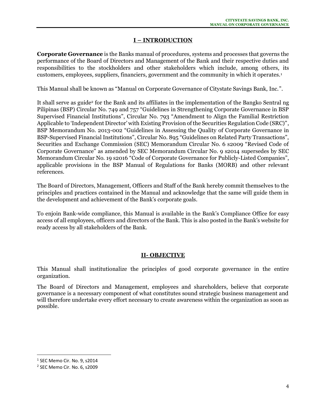## **I – INTRODUCTION**

**Corporate Governance** is the Banks manual of procedures, systems and processes that governs the performance of the Board of Directors and Management of the Bank and their respective duties and responsibilities to the stockholders and other stakeholders which include, among others, its customers, employees, suppliers, financiers, government and the community in which it operates.<sup>1</sup>

This Manual shall be known as "Manual on Corporate Governance of Citystate Savings Bank, Inc.".

It shall serve as guide<sup>2</sup> for the Bank and its affiliates in the implementation of the Bangko Sentral ng Pilipinas (BSP) Circular No. 749 and 757 "Guidelines in Strengthening Corporate Governance in BSP Supervised Financial Institutions", Circular No. 793 "Amendment to Align the Familial Restriction Applicable to 'Independent Director' with Existing Provision of the Securities Regulation Code (SRC)", BSP Memorandum No. 2013-002 "Guidelines in Assessing the Quality of Corporate Governance in BSP-Supervised Financial Institutions", Circular No. 895 "Guidelines on Related Party Transactions", Securities and Exchange Commission (SEC) Memorandum Circular No. 6 s2009 "Revised Code of Corporate Governance" as amended by SEC Memorandum Circular No. 9 s2014 supersedes by SEC Memorandum Circular No. 19 s2016 "Code of Corporate Governance for Publicly-Listed Companies", applicable provisions in the BSP Manual of Regulations for Banks (MORB) and other relevant references.

The Board of Directors, Management, Officers and Staff of the Bank hereby commit themselves to the principles and practices contained in the Manual and acknowledge that the same will guide them in the development and achievement of the Bank's corporate goals.

To enjoin Bank-wide compliance, this Manual is available in the Bank's Compliance Office for easy access of all employees, officers and directors of the Bank. This is also posted in the Bank's website for ready access by all stakeholders of the Bank.

## **II- OBJECTIVE**

This Manual shall institutionalize the principles of good corporate governance in the entire organization.

The Board of Directors and Management, employees and shareholders, believe that corporate governance is a necessary component of what constitutes sound strategic business management and will therefore undertake every effort necessary to create awareness within the organization as soon as possible.

 $^1$  SEC Memo Cir. No. 9, s2014

<sup>2</sup> SEC Memo Cir. No. 6, s2009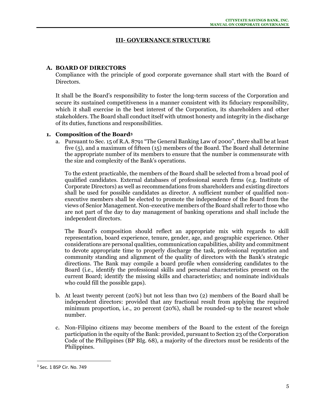## **III- GOVERNANCE STRUCTURE**

## **A. BOARD OF DIRECTORS**

Compliance with the principle of good corporate governance shall start with the Board of Directors.

It shall be the Board's responsibility to foster the long-term success of the Corporation and secure its sustained competitiveness in a manner consistent with its fiduciary responsibility, which it shall exercise in the best interest of the Corporation, its shareholders and other stakeholders. The Board shall conduct itself with utmost honesty and integrity in the discharge of its duties, functions and responsibilities.

#### **1. Composition of the Board<sup>3</sup>**

a. Pursuant to Sec. 15 of R.A. 8791 "The General Banking Law of 2000", there shall be at least five (5), and a maximum of fifteen (15) members of the Board. The Board shall determine the appropriate number of its members to ensure that the number is commensurate with the size and complexity of the Bank's operations.

To the extent practicable, the members of the Board shall be selected from a broad pool of qualified candidates. External databases of professional search firms (e.g. Institute of Corporate Directors) as well as recommendations from shareholders and existing directors shall be used for possible candidates as director. A sufficient number of qualified nonexecutive members shall be elected to promote the independence of the Board from the views of Senior Management. Non-executive members of the Board shall refer to those who are not part of the day to day management of banking operations and shall include the independent directors.

The Board's composition should reflect an appropriate mix with regards to skill representation, board experience, tenure, gender, age, and geographic experience. Other considerations are personal qualities, communication capabilities, ability and commitment to devote appropriate time to properly discharge the task, professional reputation and community standing and alignment of the quality of directors with the Bank's strategic directions. The Bank may compile a board profile when considering candidates to the Board (i.e., identify the professional skills and personal characteristics present on the current Board; identify the missing skills and characteristics; and nominate individuals who could fill the possible gaps).

- b. At least twenty percent (20%) but not less than two (2) members of the Board shall be independent directors: provided that any fractional result from applying the required minimum proportion, i.e., 20 percent (20%), shall be rounded-up to the nearest whole number.
- c. Non-Filipino citizens may become members of the Board to the extent of the foreign participation in the equity of the Bank: provided, pursuant to Section 23 of the Corporation Code of the Philippines (BP BIg. 68), a majority of the directors must be residents of the Philippines.

<sup>&</sup>lt;sup>3</sup> Sec. 1 BSP Cir. No. 749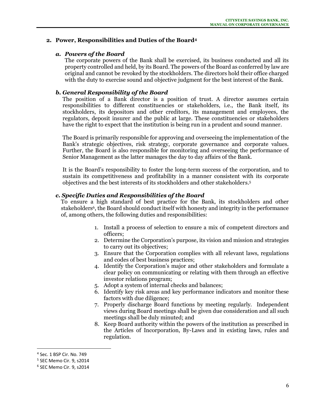## **2. Power, Responsibilities and Duties of the Board<sup>4</sup>**

#### *a. Powers of the Board*

The corporate powers of the Bank shall be exercised, its business conducted and all its property controlled and held, by its Board. The powers of the Board as conferred by law are original and cannot be revoked by the stockholders. The directors hold their office charged with the duty to exercise sound and objective judgment for the best interest of the Bank.

## *b. General Responsibility of the Board*

The position of a Bank director is a position of trust. A director assumes certain responsibilities to different constituencies or stakeholders, i.e., the Bank itself, its stockholders, its depositors and other creditors, its management and employees, the regulators, deposit insurer and the public at large. These constituencies or stakeholders have the right to expect that the institution is being run in a prudent and sound manner.

The Board is primarily responsible for approving and overseeing the implementation of the Bank's strategic objectives, risk strategy, corporate governance and corporate values. Further, the Board is also responsible for monitoring and overseeing the performance of Senior Management as the latter manages the day to day affairs of the Bank.

It is the Board's responsibility to foster the long-term success of the corporation, and to sustain its competitiveness and profitability in a manner consistent with its corporate objectives and the best interests of its stockholders and other stakeholders.<sup>5</sup>

## *c. Specific Duties and Responsibilities of the Board*

To ensure a high standard of best practice for the Bank, its stockholders and other stakeholders<sup>6</sup>, the Board should conduct itself with honesty and integrity in the performance of, among others, the following duties and responsibilities:

- 1. Install a process of selection to ensure a mix of competent directors and officers;
- 2. Determine the Corporation's purpose, its vision and mission and strategies to carry out its objectives;
- 3. Ensure that the Corporation complies with all relevant laws, regulations and codes of best business practices;
- 4. Identify the Corporation's major and other stakeholders and formulate a clear policy on communicating or relating with them through an effective investor relations program;
- 5. Adopt a system of internal checks and balances;
- 6. Identify key risk areas and key performance indicators and monitor these factors with due diligence;
- 7. Properly discharge Board functions by meeting regularly. Independent views during Board meetings shall be given due consideration and all such meetings shall be duly minuted; and
- 8. Keep Board authority within the powers of the institution as prescribed in the Articles of Incorporation, By-Laws and in existing laws, rules and regulation.

<sup>4</sup> Sec. 1 BSP Cir. No. 749

<sup>5</sup> SEC Memo Cir. 9, s2014

<sup>6</sup> SEC Memo Cir. 9, s2014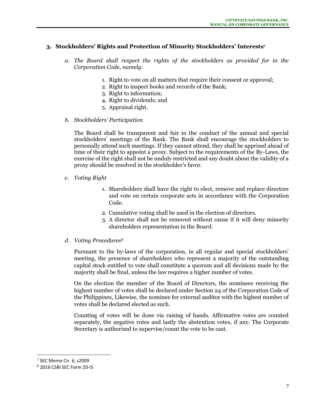# **3. Stockholders' Rights and Protection of Minority Stockholders' Interests 7**

- *a. The Board shall respect the rights of the stockholders as provided for in the Corporation Code, namely:* 
	- 1. Right to vote on all matters that require their consent or approval;
	- 2. Right to inspect books and records of the Bank;
	- 3. Right to information;
	- 4. Right to dividends; and
	- 5. Appraisal right.
- *b. Stockholders' Participation*

The Board shall be transparent and fair in the conduct of the annual and special stockholders' meetings of the Bank. The Bank shall encourage the stockholders to personally attend such meetings. If they cannot attend, they shall be apprised ahead of time of their right to appoint a proxy. Subject to the requirements of the By-Laws, the exercise of the right shall not be unduly restricted and any doubt about the validity of a proxy should be resolved in the stockholder's favor.

- *c. Voting Right* 
	- 1. Shareholders shall have the right to elect, remove and replace directors and vote on certain corporate acts in accordance with the Corporation Code.
	- 2. Cumulative voting shall be used in the election of directors.
	- 3. A director shall not be removed without cause if it will deny minority shareholders representation in the Board.
- *d. Voting Procedures<sup>8</sup>*

Pursuant to the by-laws of the corporation, in all regular and special stockholders' meeting, the presence of shareholders who represent a majority of the outstanding capital stock entitled to vote shall constitute a quorum and all decisions made by the majority shall be final, unless the law requires a higher number of votes.

On the election the member of the Board of Directors, the nominees receiving the highest number of votes shall be declared under Section 24 of the Corporation Code of the Philippines, Likewise, the nominee for external auditor with the highest number of votes shall be declared elected as such.

Counting of votes will be done via raising of hands. Affirmative votes are counted separately, the negative votes and lastly the abstention votes, if any. The Corporate Secretary is authorized to supervise/count the vote to be cast.

<sup>&</sup>lt;sup>7</sup> SEC Memo Cir. 6, s2009

<sup>8</sup> 2016 CSBI SEC Form 20-IS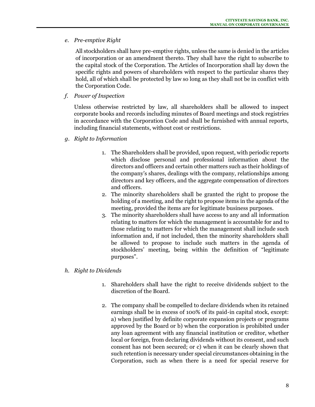## *e. Pre-emptive Right*

All stockholders shall have pre-emptive rights, unless the same is denied in the articles of incorporation or an amendment thereto. They shall have the right to subscribe to the capital stock of the Corporation. The Articles of Incorporation shall lay down the specific rights and powers of shareholders with respect to the particular shares they hold, all of which shall be protected by law so long as they shall not be in conflict with the Corporation Code.

*f. Power of Inspection*

Unless otherwise restricted by law, all shareholders shall be allowed to inspect corporate books and records including minutes of Board meetings and stock registries in accordance with the Corporation Code and shall be furnished with annual reports, including financial statements, without cost or restrictions.

- *g. Right to Information*
	- 1. The Shareholders shall be provided, upon request, with periodic reports which disclose personal and professional information about the directors and officers and certain other matters such as their holdings of the company's shares, dealings with the company, relationships among directors and key officers, and the aggregate compensation of directors and officers.
	- 2. The minority shareholders shall be granted the right to propose the holding of a meeting, and the right to propose items in the agenda of the meeting, provided the items are for legitimate business purposes.
	- 3. The minority shareholders shall have access to any and all information relating to matters for which the management is accountable for and to those relating to matters for which the management shall include such information and, if not included, then the minority shareholders shall be allowed to propose to include such matters in the agenda of stockholders' meeting, being within the definition of "legitimate purposes".
- *h. Right to Dividends*
	- 1. Shareholders shall have the right to receive dividends subject to the discretion of the Board.
	- 2. The company shall be compelled to declare dividends when its retained earnings shall be in excess of 100% of its paid-in capital stock, except: a) when justified by definite corporate expansion projects or programs approved by the Board or b) when the corporation is prohibited under any loan agreement with any financial institution or creditor, whether local or foreign, from declaring dividends without its consent, and such consent has not been secured; or c) when it can be clearly shown that such retention is necessary under special circumstances obtaining in the Corporation, such as when there is a need for special reserve for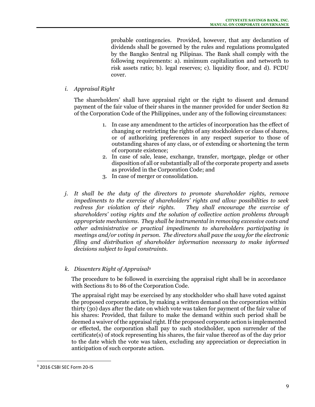probable contingencies. Provided, however, that any declaration of dividends shall be governed by the rules and regulations promulgated by the Bangko Sentral ng Pilipinas. The Bank shall comply with the following requirements: a). minimum capitalization and networth to risk assets ratio; b). legal reserves; c). liquidity floor, and d). FCDU cover.

## *i. Appraisal Right*

The shareholders' shall have appraisal right or the right to dissent and demand payment of the fair value of their shares in the manner provided for under Section 82 of the Corporation Code of the Philippines, under any of the following circumstances:

- 1. In case any amendment to the articles of incorporation has the effect of changing or restricting the rights of any stockholders or class of shares, or of authorizing preferences in any respect superior to those of outstanding shares of any class, or of extending or shortening the term of corporate existence;
- 2. In case of sale, lease, exchange, transfer, mortgage, pledge or other disposition of all or substantially all of the corporate property and assets as provided in the Corporation Code; and
- 3. In case of merger or consolidation.
- *j. It shall be the duty of the directors to promote shareholder rights, remove impediments to the exercise of shareholders' rights and allow possibilities to seek redress for violation of their rights. They shall encourage the exercise of shareholders' voting rights and the solution of collective action problems through appropriate mechanisms. They shall be instrumental in removing excessive costs and other administrative or practical impediments to shareholders participating in meetings and/or voting in person. The directors shall pave the way for the electronic filing and distribution of shareholder information necessary to make informed decisions subject to legal constraints.*
- *k. Dissenters Right of Appraisal<sup>9</sup>*

The procedure to be followed in exercising the appraisal right shall be in accordance with Sections 81 to 86 of the Corporation Code.

The appraisal right may be exercised by any stockholder who shall have voted against the proposed corporate action, by making a written demand on the corporation within thirty (30) days after the date on which vote was taken for payment of the fair value of his shares: Provided, that failure to make the demand within such period shall be deemed a waiver of the appraisal right. If the proposed corporate action is implemented or effected, the corporation shall pay to such stockholder, upon surrender of the certificate(s) of stock representing his shares, the fair value thereof as of the day prior to the date which the vote was taken, excluding any appreciation or depreciation in anticipation of such corporate action.

<sup>9</sup> 2016 CSBI SEC Form 20-IS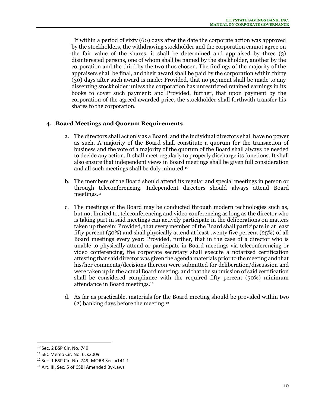If within a period of sixty (60) days after the date the corporate action was approved by the stockholders, the withdrawing stockholder and the corporation cannot agree on the fair value of the shares, it shall be determined and appraised by three (3) disinterested persons, one of whom shall be named by the stockholder, another by the corporation and the third by the two thus chosen. The findings of the majority of the appraisers shall be final, and their award shall be paid by the corporation within thirty (30) days after such award is made: Provided, that no payment shall be made to any dissenting stockholder unless the corporation has unrestricted retained earnings in its books to cover such payment: and Provided, further, that upon payment by the corporation of the agreed awarded price, the stockholder shall forthwith transfer his shares to the corporation.

# **4. Board Meetings and Quorum Requirements**

- a. The directors shall act only as a Board, and the individual directors shall have no power as such. A majority of the Board shall constitute a quorum for the transaction of business and the vote of a majority of the quorum of the Board shall always be needed to decide any action. It shall meet regularly to properly discharge its functions. It shall also ensure that independent views in Board meetings shall be given full consideration and all such meetings shall be duly minuted.<sup>10</sup>
- b. The members of the Board should attend its regular and special meetings in person or through teleconferencing. Independent directors should always attend Board meetings.<sup>11</sup>
- c. The meetings of the Board may be conducted through modern technologies such as, but not limited to, teleconferencing and video conferencing as long as the director who is taking part in said meetings can actively participate in the deliberations on matters taken up therein: Provided, that every member of the Board shall participate in at least fifty percent (50%) and shall physically attend at least twenty five percent (25%) of all Board meetings every year: Provided, further, that in the case of a director who is unable to physically attend or participate in Board meetings via teleconferencing or video conferencing, the corporate secretary shall execute a notarized certification attesting that said director was given the agenda materials prior to the meeting and that his/her comments/decisions thereon were submitted for deliberation/discussion and were taken up in the actual Board meeting, and that the submission of said certification shall be considered compliance with the required fifty percent (50%) minimum attendance in Board meetings.<sup>12</sup>
- d. As far as practicable, materials for the Board meeting should be provided within two (2) banking days before the meeting. 13

<sup>10</sup> Sec. 2 BSP Cir. No. 749

<sup>11</sup> SEC Memo Cir. No. 6, s2009

<sup>12</sup> Sec. 1 BSP Cir. No. 749; MORB Sec. x141.1

<sup>13</sup> Art. III, Sec. 5 of CSBI Amended By-Laws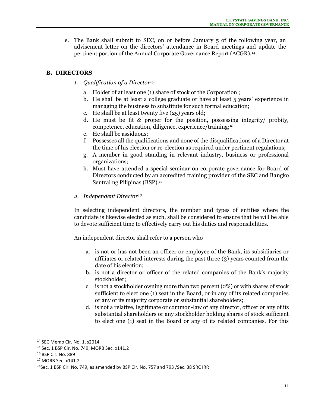e. The Bank shall submit to SEC, on or before January 5 of the following year, an advisement letter on the directors' attendance in Board meetings and update the pertinent portion of the Annual Corporate Governance Report (ACGR).<sup>14</sup>

# **B. DIRECTORS**

- *1. Qualification of a Director<sup>15</sup>*
	- a. Holder of at least one (1) share of stock of the Corporation ;
	- b. He shall be at least a college graduate or have at least 5 years' experience in managing the business to substitute for such formal education;
	- c. He shall be at least twenty five (25) years old;
	- d. He must be fit & proper for the position, possessing integrity/ probity, competence, education, diligence, experience/training;<sup>16</sup>
	- e. He shall be assiduous;
	- f. Possesses all the qualifications and none of the disqualifications of a Director at the time of his election or re-election as required under pertinent regulations;
	- g. A member in good standing in relevant industry, business or professional organizations;
	- h. Must have attended a special seminar on corporate governance for Board of Directors conducted by an accredited training provider of the SEC and Bangko Sentral ng Pilipinas (BSP).<sup>17</sup>
- *2. Independent Director<sup>18</sup>*

In selecting independent directors, the number and types of entities where the candidate is likewise elected as such, shall be considered to ensure that he will be able to devote sufficient time to effectively carry out his duties and responsibilities.

An independent director shall refer to a person who –

- a. is not or has not been an officer or employee of the Bank, its subsidiaries or affiliates or related interests during the past three (3) years counted from the date of his election;
- b. is not a director or officer of the related companies of the Bank's majority stockholder;
- c. is not a stockholder owning more than two percent (2%) or with shares of stock sufficient to elect one (1) seat in the Board, or in any of its related companies or any of its majority corporate or substantial shareholders;
- d. is not a relative, legitimate or common-law of any director, officer or any of its substantial shareholders or any stockholder holding shares of stock sufficient to elect one (1) seat in the Board or any of its related companies. For this

<sup>14</sup> SEC Memo Cir. No. 1, s2014

<sup>15</sup> Sec. 1 BSP Cir. No. 749; MORB Sec. x141.2

<sup>16</sup> BSP Cir. No. 889

<sup>17</sup> MORB Sec. x141.2

<sup>&</sup>lt;sup>18</sup>Sec. 1 BSP Cir. No. 749, as amended by BSP Cir. No. 757 and 793 /Sec. 38 SRC IRR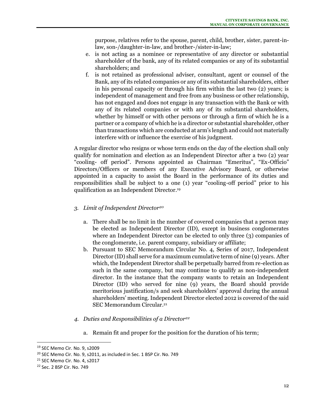purpose, relatives refer to the spouse, parent, child, brother, sister, parent-inlaw, son-/daughter-in-law, and brother-/sister-in-law;

- e. is not acting as a nominee or representative of any director or substantial shareholder of the bank, any of its related companies or any of its substantial shareholders; and
- f. is not retained as professional adviser, consultant, agent or counsel of the Bank, any of its related companies or any of its substantial shareholders, either in his personal capacity or through his firm within the last two (2) years; is independent of management and free from any business or other relationship, has not engaged and does not engage in any transaction with the Bank or with any of its related companies or with any of its substantial shareholders, whether by himself or with other persons or through a firm of which he is a partner or a company of which he is a director or substantial shareholder, other than transactions which are conducted at arm's length and could not materially interfere with or influence the exercise of his judgment.

A regular director who resigns or whose term ends on the day of the election shall only qualify for nomination and election as an Independent Director after a two (2) year "cooling- off period". Persons appointed as Chairman "Emeritus", "Ex-Officio" Directors/Officers or members of any Executive Advisory Board, or otherwise appointed in a capacity to assist the Board in the performance of its duties and responsibilities shall be subject to a one (1) year "cooling-off period" prior to his qualification as an Independent Director.<sup>19</sup>

# *3. Limit of Independent Director<sup>20</sup>*

- a. There shall be no limit in the number of covered companies that a person may be elected as Independent Director (ID), except in business conglomerates where an Independent Director can be elected to only three (3) companies of the conglomerate, i.e. parent company, subsidiary or affiliate;
- b. Pursuant to SEC Memorandum Circular No. 4, Series of 2017, Independent Director (ID) shall serve for a maximum cumulative term of nine (9) years. After which, the Independent Director shall be perpetually barred from re-election as such in the same company, but may continue to qualify as non-independent director. In the instance that the company wants to retain an Independent Director (ID) who served for nine (9) years, the Board should provide meritorious justification/s and seek shareholders' approval during the annual shareholders' meeting. Independent Director elected 2012 is covered of the said SEC Memorandum Circular.<sup>21</sup>
- *4. Duties and Responsibilities of a Director<sup>22</sup>*
	- a. Remain fit and proper for the position for the duration of his term;

<sup>19</sup> SEC Memo Cir. No. 9, s2009

<sup>&</sup>lt;sup>20</sup> SEC Memo Cir. No. 9, s2011, as included in Sec. 1 BSP Cir. No. 749

<sup>&</sup>lt;sup>21</sup> SEC Memo Cir. No. 4, s2017

<sup>22</sup> Sec. 2 BSP Cir. No. 749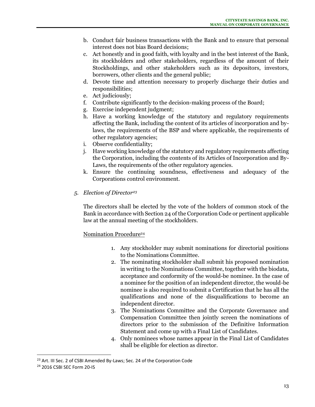- b. Conduct fair business transactions with the Bank and to ensure that personal interest does not bias Board decisions;
- c. Act honestly and in good faith, with loyalty and in the best interest of the Bank, its stockholders and other stakeholders, regardless of the amount of their Stockholdings, and other stakeholders such as its depositors, investors, borrowers, other clients and the general public;
- d. Devote time and attention necessary to properly discharge their duties and responsibilities;
- e. Act judiciously;
- f. Contribute significantly to the decision-making process of the Board;
- g. Exercise independent judgment;
- h. Have a working knowledge of the statutory and regulatory requirements affecting the Bank, including the content of its articles of incorporation and bylaws, the requirements of the BSP and where applicable, the requirements of other regulatory agencies;
- i. Observe confidentiality;
- j. Have working knowledge of the statutory and regulatory requirements affecting the Corporation, including the contents of its Articles of Incorporation and By-Laws, the requirements of the other regulatory agencies.
- k. Ensure the continuing soundness, effectiveness and adequacy of the Corporations control environment.
- *5. Election of Director<sup>23</sup>*

The directors shall be elected by the vote of the holders of common stock of the Bank in accordance with Section 24 of the Corporation Code or pertinent applicable law at the annual meeting of the stockholders.

# Nomination Procedure<sup>24</sup>

- 1. Any stockholder may submit nominations for directorial positions to the Nominations Committee.
- 2. The nominating stockholder shall submit his proposed nomination in writing to the Nominations Committee, together with the biodata, acceptance and conformity of the would-be nominee. In the case of a nominee for the position of an independent director, the would-be nominee is also required to submit a Certification that he has all the qualifications and none of the disqualifications to become an independent director.
- 3. The Nominations Committee and the Corporate Governance and Compensation Committee then jointly screen the nominations of directors prior to the submission of the Definitive Information Statement and come up with a Final List of Candidates.
- 4. Only nominees whose names appear in the Final List of Candidates shall be eligible for election as director.

<sup>&</sup>lt;sup>23</sup> Art. III Sec. 2 of CSBI Amended By-Laws; Sec. 24 of the Corporation Code

<sup>24</sup> 2016 CSBI SEC Form 20-IS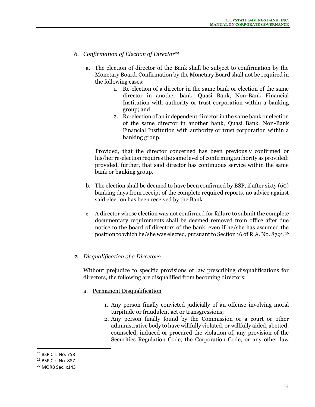- *6. Confirmation of Election of Director<sup>25</sup>*
	- a. The election of director of the Bank shall be subject to confirmation by the Monetary Board. Confirmation by the Monetary Board shall not be required in the following cases:
		- 1. Re-election of a director in the same bank or election of the same director in another bank, Quasi Bank, Non-Bank Financial Institution with authority or trust corporation within a banking group; and
		- 2. Re-election of an independent director in the same bank or election of the same director in another bank, Quasi Bank, Non-Bank Financial Institution with authority or trust corporation within a banking group.

 Provided, that the director concerned has been previously confirmed or his/her re-election requires the same level of confirming authority as provided: provided, further, that said director has continuous service within the same bank or banking group.

- b. The election shall be deemed to have been confirmed by BSP, if after sixty (60) banking days from receipt of the complete required reports, no advice against said election has been received by the Bank.
- c. A director whose election was not confirmed for failure to submit the complete documentary requirements shall be deemed removed from office after due notice to the board of directors of the bank, even if he/she has assumed the position to which he/she was elected, pursuant to Section 16 of R.A. No. 8791.<sup>26</sup>

## *7. Disqualification of a Director<sup>27</sup>*

Without prejudice to specific provisions of law prescribing disqualifications for directors, the following are disqualified from becoming directors:

- a. Permanent Disqualification
	- 1. Any person finally convicted judicially of an offense involving moral turpitude or fraudulent act or transgressions;
	- 2. Any person finally found by the Commission or a court or other administrative body to have willfully violated, or willfully aided, abetted, counseled, induced or procured the violation of, any provision of the Securities Regulation Code, the Corporation Code, or any other law

<sup>25</sup> BSP Cir. No. 758

<sup>26</sup> BSP Cir. No. 887

<sup>&</sup>lt;sup>27</sup> MORB Sec. x143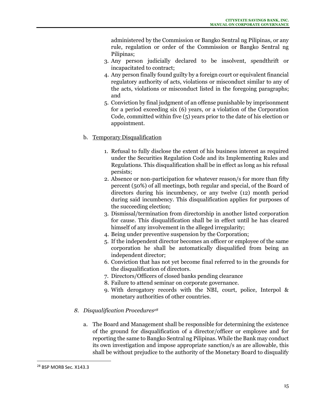administered by the Commission or Bangko Sentral ng Pilipinas, or any rule, regulation or order of the Commission or Bangko Sentral ng Pilipinas;

- 3. Any person judicially declared to be insolvent, spendthrift or incapacitated to contract;
- 4. Any person finally found guilty by a foreign court or equivalent financial regulatory authority of acts, violations or misconduct similar to any of the acts, violations or misconduct listed in the foregoing paragraphs; and
- 5. Conviction by final judgment of an offense punishable by imprisonment for a period exceeding six (6) years, or a violation of the Corporation Code, committed within five (5) years prior to the date of his election or appointment.
- b. Temporary Disqualification
	- 1. Refusal to fully disclose the extent of his business interest as required under the Securities Regulation Code and its Implementing Rules and Regulations. This disqualification shall be in effect as long as his refusal persists;
	- 2. Absence or non-participation for whatever reason/s for more than fifty percent (50%) of all meetings, both regular and special, of the Board of directors during his incumbency, or any twelve (12) month period during said incumbency. This disqualification applies for purposes of the succeeding election;
	- 3. Dismissal/termination from directorship in another listed corporation for cause. This disqualification shall be in effect until he has cleared himself of any involvement in the alleged irregularity;
	- 4. Being under preventive suspension by the Corporation;
	- 5. If the independent director becomes an officer or employee of the same corporation he shall be automatically disqualified from being an independent director;
	- 6. Conviction that has not yet become final referred to in the grounds for the disqualification of directors.
	- 7. Directors/Officers of closed banks pending clearance
	- 8. Failure to attend seminar on corporate governance.
	- 9. With derogatory records with the NBI, court, police, Interpol & monetary authorities of other countries.
- *8. Disqualification Procedures<sup>28</sup>*
	- a. The Board and Management shall be responsible for determining the existence of the ground for disqualification of a director/officer or employee and for reporting the same to Bangko Sentral ng Pilipinas. While the Bank may conduct its own investigation and impose appropriate sanction/s as are allowable, this shall be without prejudice to the authority of the Monetary Board to disqualify

<sup>&</sup>lt;sup>28</sup> BSP MORB Sec. X143.3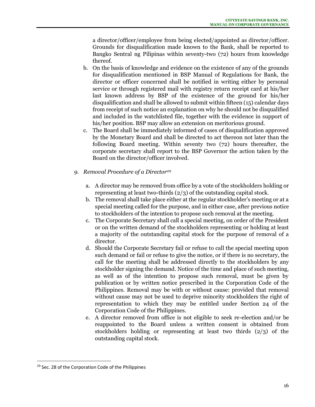a director/officer/employee from being elected/appointed as director/officer. Grounds for disqualification made known to the Bank, shall be reported to Bangko Sentral ng Pilipinas within seventy-two (72) hours from knowledge thereof.

- b. On the basis of knowledge and evidence on the existence of any of the grounds for disqualification mentioned in BSP Manual of Regulations for Bank, the director or officer concerned shall be notified in writing either by personal service or through registered mail with registry return receipt card at his/her last known address by BSP of the existence of the ground for his/her disqualification and shall be allowed to submit within fifteen (15) calendar days from receipt of such notice an explanation on why he should not be disqualified and included in the watchlisted file, together with the evidence in support of his/her position. BSP may allow an extension on meritorious ground.
- c. The Board shall be immediately informed of cases of disqualification approved by the Monetary Board and shall be directed to act thereon not later than the following Board meeting. Within seventy two (72) hours thereafter, the corporate secretary shall report to the BSP Governor the action taken by the Board on the director/officer involved.
- *9. Removal Procedure of a Director<sup>29</sup>*
	- a. A director may be removed from office by a vote of the stockholders holding or representing at least two-thirds (2/3) of the outstanding capital stock.
	- b. The removal shall take place either at the regular stockholder's meeting or at a special meeting called for the purpose, and in either case, after previous notice to stockholders of the intention to propose such removal at the meeting.
	- c. The Corporate Secretary shall call a special meeting, on order of the President or on the written demand of the stockholders representing or holding at least a majority of the outstanding capital stock for the purpose of removal of a director.
	- d. Should the Corporate Secretary fail or refuse to call the special meeting upon such demand or fail or refuse to give the notice, or if there is no secretary, the call for the meeting shall be addressed directly to the stockholders by any stockholder signing the demand. Notice of the time and place of such meeting, as well as of the intention to propose such removal, must be given by publication or by written notice prescribed in the Corporation Code of the Philippines. Removal may be with or without cause: provided that removal without cause may not be used to deprive minority stockholders the right of representation to which they may be entitled under Section 24 of the Corporation Code of the Philippines.
	- e. A director removed from office is not eligible to seek re-election and/or be reappointed to the Board unless a written consent is obtained from stockholders holding or representing at least two thirds (2/3) of the outstanding capital stock.

<sup>&</sup>lt;sup>29</sup> Sec. 28 of the Corporation Code of the Philippines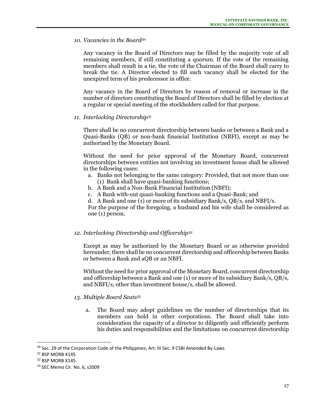#### *10. Vacancies in the Board<sup>30</sup>*

Any vacancy in the Board of Directors may be filled by the majority vote of all remaining members, if still constituting a quorum. If the vote of the remaining members shall result in a tie, the vote of the Chairman of the Board shall carry to break the tie. A Director elected to fill such vacancy shall be elected for the unexpired term of his predecessor in office.

Any vacancy in the Board of Directors by reason of removal or increase in the number of directors constituting the Board of Directors shall be filled by election at a regular or special meeting of the stockholders called for that purpose.

#### *11. Interlocking Directorship<sup>31</sup>*

There shall be no concurrent directorship between banks or between a Bank and a Quasi-Banks (QB) or non-bank financial Institution (NBFI), except as may be authorized by the Monetary Board.

Without the need for prior approval of the Monetary Board, concurrent directorships between entities not involving an investment house shall be allowed in the following cases:

- a. Banks not belonging to the same category: Provided, that not more than one (1) Bank shall have quasi-banking functions;
- b. A Bank and a Non-Bank Financial Institution (NBFI);
- c. A Bank with-out quasi-banking functions and a Quasi-Bank; and
- d. A Bank and one (1) or more of its subsidiary Bank/s, QB/s, and NBFI/s.

For the purpose of the foregoing, a husband and his wife shall be considered as one (1) person.

## *12. Interlocking Directorship and Officership<sup>32</sup>*

Except as may be authorized by the Monetary Board or as otherwise provided hereunder, there shall be no concurrent directorship and officership between Banks or between a Bank and aQB or an NBFI.

Without the need for prior approval of the Monetary Board, concurrent directorship and officership between a Bank and one (1) or more of its subsidiary Bank/s, QB/s, and NBFI/s, other than investment house/s, shall be allowed.

## *13. Multiple Board Seats<sup>33</sup>*

a. The Board may adopt guidelines on the number of directorships that its members can hold in other corporations. The Board shall take into consideration the capacity of a director to diligently and efficiently perform his duties and responsibilities and the limitations on concurrent directorship

<sup>&</sup>lt;sup>30</sup> Sec. 29 of the Corporation Code of the Philippines; Art. III Sec. 9 CSBI Amended By-Laws

<sup>&</sup>lt;sup>31</sup> BSP MORB X145

<sup>32</sup> BSP MORB X145

<sup>33</sup> SEC Memo Cir. No. 6, s2009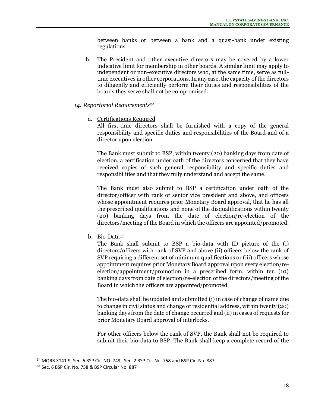between banks or between a bank and a quasi-bank under existing regulations.

- b. The President and other executive directors may be covered by a lower indicative limit for membership in other boards. A similar limit may apply to independent or non-executive directors who, at the same time, serve as fulltime executives in other corporations. In any case, the capacity of the directors to diligently and efficiently perform their duties and responsibilities of the boards they serve shall not be compromised.
- *14. Reportorial Requirements<sup>34</sup>*
	- a. Certifications Required

All first-time directors shall be furnished with a copy of the general responsibility and specific duties and responsibilities of the Board and of a director upon election.

The Bank must submit to BSP, within twenty (20) banking days from date of election, a certification under oath of the directors concerned that they have received copies of such general responsibility and specific duties and responsibilities and that they fully understand and accept the same.

The Bank must also submit to BSP a certification under oath of the director/officer with rank of senior vice president and above, and officers whose appointment requires prior Monetary Board approval, that he has all the prescribed qualifications and none of the disqualifications within twenty (20) banking days from the date of election/re-election of the directors/meeting of the Board in which the officers are appointed/promoted.

b. Bio-Data<sup>35</sup>

The Bank shall submit to BSP a bio-data with ID picture of the (i) directors/officers with rank of SVP and above (ii) officers below the rank of SVP requiring a different set of minimum qualifications or (iii) officers whose appointment requires prior Monetary Board approval upon every election/reelection/appointment/promotion in a prescribed form, within ten (10) banking days from date of election/re-election of the directors/meeting of the Board in which the officers are appointed/promoted.

The bio-data shall be updated and submitted (i) in case of change of name due to change in civil status and change of residential address, within twenty (20) banking days from the date of change occurred and (ii) in cases of requests for prior Monetary Board approval of interlocks.

For other officers below the rank of SVP, the Bank shall not be required to submit their bio-data to BSP. The Bank shall keep a complete record of the

<sup>34</sup> MORB X141.9, Sec. 6 BSP Cir. NO. 749, Sec. 2 BSP Cir. No. 758 and BSP Cir. No. 887

<sup>35</sup> Sec. 6 BSP Cir. No. 758 & BSP Circular No. 887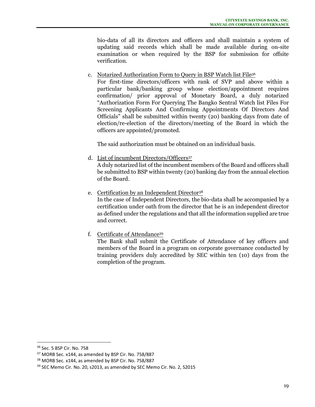bio-data of all its directors and officers and shall maintain a system of updating said records which shall be made available during on-site examination or when required by the BSP for submission for offsite verification.

c. Notarized Authorization Form to Query in BSP Watch list File<sup>36</sup>

For first-time directors/officers with rank of SVP and above within a particular bank/banking group whose election/appointment requires confirmation/ prior approval of Monetary Board, a duly notarized "Authorization Form For Querying The Bangko Sentral Watch list Files For Screening Applicants And Confirming Appointments Of Directors And Officials" shall be submitted within twenty (20) banking days from date of election/re-election of the directors/meeting of the Board in which the officers are appointed/promoted.

The said authorization must be obtained on an individual basis.

d. List of incumbent Directors/Officers<sup>37</sup>

A duly notarized list of the incumbent members of the Board and officers shall be submitted to BSP within twenty (20) banking day from the annual election of the Board.

e. Certification by an Independent Director<sup>38</sup>

In the case of Independent Directors, the bio-data shall be accompanied by a certification under oath from the director that he is an independent director as defined under the regulations and that all the information supplied are true and correct.

f. Certificate of Attendance<sup>39</sup>

The Bank shall submit the Certificate of Attendance of key officers and members of the Board in a program on corporate governance conducted by training providers duly accredited by SEC within ten (10) days from the completion of the program.

<sup>36</sup> Sec. 5 BSP Cir. No. 758

<sup>37</sup> MORB Sec. x144, as amended by BSP Cir. No. 758/887

<sup>38</sup> MORB Sec. x144, as amended by BSP Cir. No. 758/887

<sup>&</sup>lt;sup>39</sup> SEC Memo Cir. No. 20, s2013, as amended by SEC Memo Cir. No. 2, S2015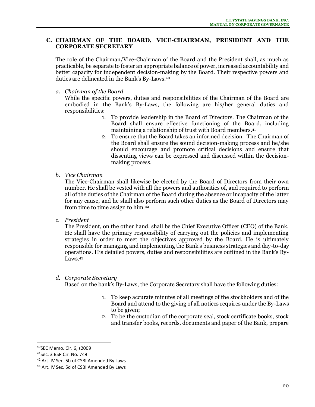## **C. CHAIRMAN OF THE BOARD, VICE-CHAIRMAN, PRESIDENT AND THE CORPORATE SECRETARY**

The role of the Chairman/Vice-Chairman of the Board and the President shall, as much as practicable, be separate to foster an appropriate balance of power, increased accountability and better capacity for independent decision-making by the Board. Their respective powers and duties are delineated in the Bank's By-Laws.<sup>40</sup>

*a. Chairman of the Board*

While the specific powers, duties and responsibilities of the Chairman of the Board are embodied in the Bank's By-Laws, the following are his/her general duties and responsibilities:

- 1. To provide leadership in the Board of Directors. The Chairman of the Board shall ensure effective functioning of the Board, including maintaining a relationship of trust with Board members.<sup>41</sup>
- 2. To ensure that the Board takes an informed decision. The Chairman of the Board shall ensure the sound decision-making process and he/she should encourage and promote critical decisions and ensure that dissenting views can be expressed and discussed within the decisionmaking process.
- *b. Vice Chairman*

The Vice-Chairman shall likewise be elected by the Board of Directors from their own number. He shall be vested with all the powers and authorities of, and required to perform all of the duties of the Chairman of the Board during the absence or incapacity of the latter for any cause, and he shall also perform such other duties as the Board of Directors may from time to time assign to him.<sup>42</sup>

*c. President*

The President, on the other hand, shall be the Chief Executive Officer (CEO) of the Bank. He shall have the primary responsibility of carrying out the policies and implementing strategies in order to meet the objectives approved by the Board. He is ultimately responsible for managing and implementing the Bank's business strategies and day-to-day operations. His detailed powers, duties and responsibilities are outlined in the Bank's By-Laws.<sup>43</sup>

*d. Corporate Secretary*

Based on the bank's By-Laws, the Corporate Secretary shall have the following duties:

- 1. To keep accurate minutes of all meetings of the stockholders and of the Board and attend to the giving of all notices requires under the By-Laws to be given;
- 2. To be the custodian of the corporate seal, stock certificate books, stock and transfer books, records, documents and paper of the Bank, prepare

<sup>40</sup>SEC Memo. Cir. 6, s2009

<sup>41</sup>Sec. 3 BSP Cir. No. 749

<sup>&</sup>lt;sup>42</sup> Art. IV Sec. 5b of CSBI Amended By Laws

<sup>43</sup> Art. IV Sec. 5d of CSBI Amended By Laws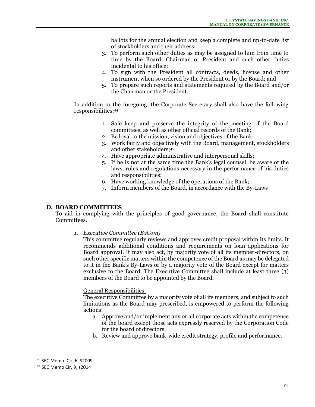ballots for the annual election and keep a complete and up-to-date list of stockholders and their address;

- 3. To perform such other duties as may be assigned to him from time to time by the Board, Chairman or President and such other duties incidental to his office;
- 4. To sign with the President all contracts, deeds, license and other instrument when so ordered by the President or by the Board; and
- 5. To prepare such reports and statements required by the Board and/or the Chairman or the President.

In addition to the foregoing, the Corporate Secretary shall also have the following responsibilities:<sup>44</sup>

- 1. Safe keep and preserve the integrity of the meeting of the Board committees, as well as other official records of the Bank;
- 2. Be loyal to the mission, vision and objectives of the Bank;
- 3. Work fairly and objectively with the Board, management, stockholders and other stakeholders;<sup>45</sup>
- 4. Have appropriate administrative and interpersonal skills;
- 5. If he is not at the same time the Bank's legal counsel, be aware of the laws, rules and regulations necessary in the performance of his duties and responsibilities;
- 6. Have working knowledge of the operations of the Bank;
- 7. Inform members of the Board, in accordance with the By-Laws

#### **D. BOARD COMMITTEES**

To aid in complying with the principles of good governance, the Board shall constitute Committees.

*1. Executive Committee (ExCom)*

This committee regularly reviews and approves credit proposal within its limits. It recommends additional conditions and requirements on loan applications for Board approval. It may also act, by majority vote of all its member-directors, on such other specific matters within the competence of the Board as may be delegated to it in the Bank's By-Laws or by a majority vote of the Board except for matters exclusive to the Board. The Executive Committee shall include at least three (3) members of the Board to be appointed by the Board.

#### General Responsibilities:

The executive Committee by a majority vote of all its members, and subject to such limitations as the Board may prescribed, is empowered to perform the following actions:

- a. Approve and/or implement any or all corporate acts within the competence of the board except those acts expressly reserved by the Corporation Code for the board of directors.
- b. Review and approve bank-wide credit strategy, profile and performance.

<sup>44</sup> SEC Memo. Cir. 6, S2009

<sup>45</sup> SEC Memo Cir. 9, s2014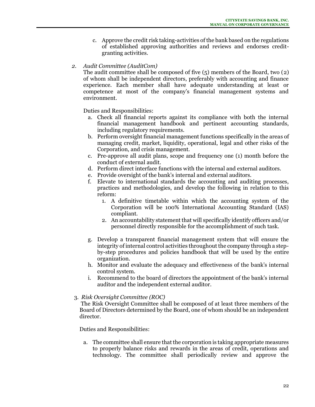c. Approve the credit risk taking-activities of the bank based on the regulations of established approving authorities and reviews and endorses creditgranting activities.

## *2. Audit Committee (AuditCom)*

The audit committee shall be composed of five (5) members of the Board, two (2) of whom shall be independent directors, preferably with accounting and finance experience. Each member shall have adequate understanding at least or competence at most of the company's financial management systems and environment.

Duties and Responsibilities:

- a. Check all financial reports against its compliance with both the internal financial management handbook and pertinent accounting standards, including regulatory requirements.
- b. Perform oversight financial management functions specifically in the areas of managing credit, market, liquidity, operational, legal and other risks of the Corporation, and crisis management.
- c. Pre-approve all audit plans, scope and frequency one (1) month before the conduct of external audit.
- d. Perform direct interface functions with the internal and external auditors.
- e. Provide oversight of the bank's internal and external auditors.
- f. Elevate to international standards the accounting and auditing processes, practices and methodologies, and develop the following in relation to this reform:
	- 1. A definitive timetable within which the accounting system of the Corporation will be 100% International Accounting Standard (IAS) compliant.
	- 2. An accountability statement that will specifically identify officers and/or personnel directly responsible for the accomplishment of such task.
- g. Develop a transparent financial management system that will ensure the integrity of internal control activities throughout the company through a stepby-step procedures and policies handbook that will be used by the entire organization.
- h. Monitor and evaluate the adequacy and effectiveness of the bank's internal control system.
- i. Recommend to the board of directors the appointment of the bank's internal auditor and the independent external auditor.

#### 3. *Risk Oversight Committee (ROC)*

The Risk Oversight Committee shall be composed of at least three members of the Board of Directors determined by the Board, one of whom should be an independent director.

Duties and Responsibilities:

a. The committee shall ensure that the corporation is taking appropriate measures to properly balance risks and rewards in the areas of credit, operations and technology. The committee shall periodically review and approve the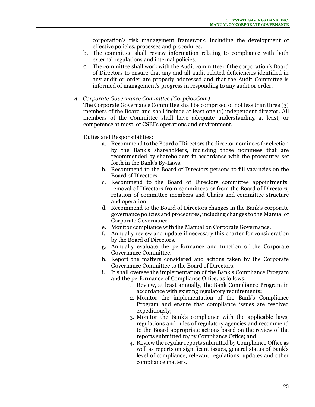corporation's risk management framework, including the development of effective policies, processes and procedures.

- b. The committee shall review information relating to compliance with both external regulations and internal policies.
- c. The committee shall work with the Audit committee of the corporation's Board of Directors to ensure that any and all audit related deficiencies identified in any audit or order are properly addressed and that the Audit Committee is informed of management's progress in responding to any audit or order.

#### *4. Corporate Governance Committee (CorpGovCom)*

The Corporate Governance Committee shall be comprised of not less than three (3) members of the Board and shall include at least one (1) independent director. All members of the Committee shall have adequate understanding at least, or competence at most, of CSBI's operations and environment.

- a. Recommend to the Board of Directors the director nominees for election by the Bank's shareholders, including those nominees that are recommended by shareholders in accordance with the procedures set forth in the Bank's By-Laws.
- b. Recommend to the Board of Directors persons to fill vacancies on the Board of Directors
- c. Recommend to the Board of Directors committee appointments, removal of Directors from committees or from the Board of Directors, rotation of committee members and Chairs and committee structure and operation.
- d. Recommend to the Board of Directors changes in the Bank's corporate governance policies and procedures, including changes to the Manual of Corporate Governance.
- e. Monitor compliance with the Manual on Corporate Governance.
- f. Annually review and update if necessary this charter for consideration by the Board of Directors.
- g. Annually evaluate the performance and function of the Corporate Governance Committee.
- h. Report the matters considered and actions taken by the Corporate Governance Committee to the Board of Directors.
- i. It shall oversee the implementation of the Bank's Compliance Program and the performance of Compliance Office, as follows:
	- 1. Review, at least annually, the Bank Compliance Program in accordance with existing regulatory requirements;
	- 2. Monitor the implementation of the Bank's Compliance Program and ensure that compliance issues are resolved expeditiously;
	- 3. Monitor the Bank's compliance with the applicable laws, regulations and rules of regulatory agencies and recommend to the Board appropriate actions based on the review of the reports submitted to/by Compliance Office; and
	- 4. Review the regular reports submitted by Compliance Office as well as reports on significant issues, general status of Bank's level of compliance, relevant regulations, updates and other compliance matters.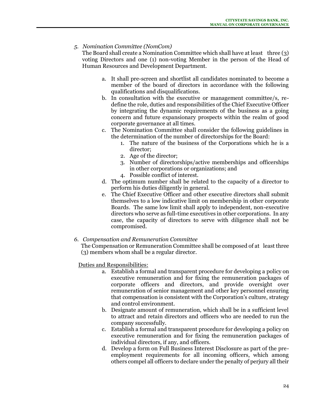## *5. Nomination Committee (NomCom)*

The Board shall create a Nomination Committee which shall have at least three (3) voting Directors and one (1) non-voting Member in the person of the Head of Human Resources and Development Department.

- a. It shall pre-screen and shortlist all candidates nominated to become a member of the board of directors in accordance with the following qualifications and disqualifications.
- b. In consultation with the executive or management committee/s, redefine the role, duties and responsibilities of the Chief Executive Officer by integrating the dynamic requirements of the business as a going concern and future expansionary prospects within the realm of good corporate governance at all times.
- c. The Nomination Committee shall consider the following guidelines in the determination of the number of directorships for the Board:
	- 1. The nature of the business of the Corporations which he is a director;
	- 2. Age of the director;
	- 3. Number of directorships/active memberships and officerships in other corporations or organizations; and
	- 4. Possible conflict of interest.
- d. The optimum number shall be related to the capacity of a director to perform his duties diligently in general.
- e. The Chief Executive Officer and other executive directors shall submit themselves to a low indicative limit on membership in other corporate Boards. The same low limit shall apply to independent, non-executive directors who serve as full-time executives in other corporations. In any case, the capacity of directors to serve with diligence shall not be compromised.
- *6. Compensation and Remuneration Committee*

The Compensation or Remuneration Committee shall be composed of at least three (3) members whom shall be a regular director.

- a. Establish a formal and transparent procedure for developing a policy on executive remuneration and for fixing the remuneration packages of corporate officers and directors, and provide oversight over remuneration of senior management and other key personnel ensuring that compensation is consistent with the Corporation's culture, strategy and control environment.
- b. Designate amount of remuneration, which shall be in a sufficient level to attract and retain directors and officers who are needed to run the company successfully.
- c. Establish a formal and transparent procedure for developing a policy on executive remuneration and for fixing the remuneration packages of individual directors, if any, and officers.
- d. Develop a form on Full Business Interest Disclosure as part of the preemployment requirements for all incoming officers, which among others compel all officers to declare under the penalty of perjury all their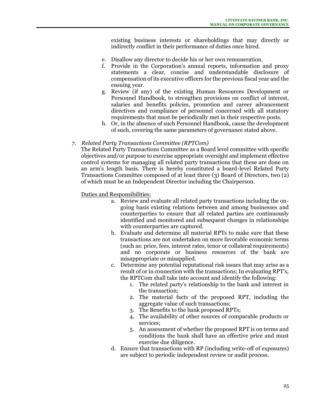existing business interests or shareholdings that may directly or indirectly conflict in their performance of duties once hired.

- e. Disallow any director to decide his or her own remuneration.
- f. Provide in the Corporation's annual reports, information and proxy statements a clear, concise and understandable disclosure of compensation of its executive officers for the previous fiscal year and the ensuing year.
- g. Review (if any) of the existing Human Resources Development or Personnel Handbook, to strengthen provisions on conflict of interest, salaries and benefits policies, promotion and career advancement directives and compliance of personnel concerned with all statutory requirements that must be periodically met in their respective posts.
- h. Or, in the absence of such Personnel Handbook, cause the development of such, covering the same parameters of governance stated above.

## *7. Related Party Transactions Committee (RPTCom)*

The Related Party Transactions Committee as a Board level committee with specific objectives and/or purpose to exercise appropriate oversight and implement effective control systems for managing all related party transactions that these are done on an arm's length basis. There is hereby constituted a board-level Related Party Transactions Committee composed of at least three (3) Board of Directors, two (2) of which must be an Independent Director including the Chairperson.

- a. Review and evaluate all related party transactions including the ongoing basis existing relations between and among businesses and counterparties to ensure that all related parties are continuously identified and monitored and subsequent changes in relationships with counterparties are captured.
- b. Evaluate and determine all material RPTs to make sure that these transactions are not undertaken on more favorable economic terms (such as: price, fees, interest rates, tenor or collateral requirements) and no corporate or business resources of the bank are misappropriate or misapplied.
- c. Determine any potential reputational risk issues that may arise as a result of or in connection with the transactions; In evaluating RPT's, the RPTCom shall take into account and identify the following:
	- 1. The related party's relationship to the bank and interest in the transaction;
	- 2. The material facts of the proposed RPT, including the aggregate value of such transactions;
	- 3. The Benefits to the bank proposed RPTs;
	- 4. The availability of other sources of comparable products or services;
	- 5. An assessment of whether the proposed RPT is on terms and conditions the bank shall have an effective price and must exercise due diligence.
- d. Ensure that transactions with RP (including write-off of exposures) are subject to periodic independent review or audit process.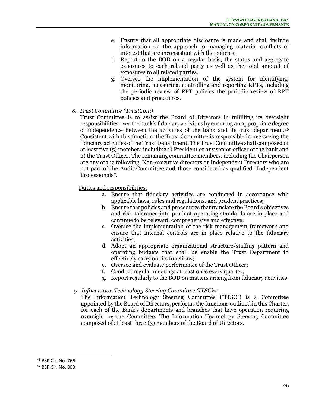- e. Ensure that all appropriate disclosure is made and shall include information on the approach to managing material conflicts of interest that are inconsistent with the policies.
- f. Report to the BOD on a regular basis, the status and aggregate exposures to each related party as well as the total amount of exposures to all related parties.
- g. Oversee the implementation of the system for identifying, monitoring, measuring, controlling and reporting RPTs, including the periodic review of RPT policies the periodic review of RPT policies and procedures.
- *8. Trust Committee (TrustCom)*

Trust Committee is to assist the Board of Directors in fulfilling its oversight responsibilities over the bank's fiduciary activities by ensuring an appropriate degree of independence between the activities of the bank and its trust department.<sup>46</sup> Consistent with this function, the Trust Committee is responsible in overseeing the fiduciary activities of the Trust Department. The Trust Committee shall composed of at least five (5) members including 1) President or any senior officer of the bank and 2) the Trust Officer. The remaining committee members, including the Chairperson are any of the following, Non-executive directors or Independent Directors who are not part of the Audit Committee and those considered as qualified "Independent Professionals".

Duties and responsibilities:

- a. Ensure that fiduciary activities are conducted in accordance with applicable laws, rules and regulations, and prudent practices;
- b. Ensure that policies and procedures that translate the Board's objectives and risk tolerance into prudent operating standards are in place and continue to be relevant, comprehensive and effective;
- c. Oversee the implementation of the risk management framework and ensure that internal controls are in place relative to the fiduciary activities;
- d. Adopt an appropriate organizational structure/staffing pattern and operating budgets that shall be enable the Trust Department to effectively carry out its functions;
- e. Oversee and evaluate performance of the Trust Officer;
- f. Conduct regular meetings at least once every quarter;
- g. Report regularly to the BOD on matters arising from fiduciary activities.

## *9. Information Technology Steering Committee (ITSC)<sup>47</sup>*

The Information Technology Steering Committee ("ITSC") is a Committee appointed by the Board of Directors, performs the functions outlined in this Charter, for each of the Bank's departments and branches that have operation requiring oversight by the Committee. The Information Technology Steering Committee composed of at least three (3) members of the Board of Directors.

<sup>46</sup> BSP Cir. No. 766

<sup>47</sup> BSP Cir. No. 808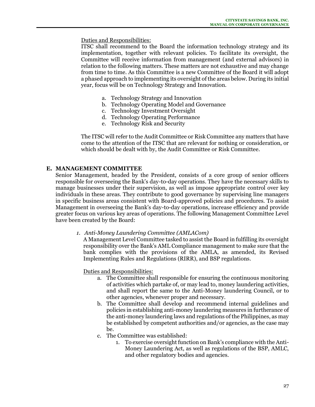Duties and Responsibilities:

ITSC shall recommend to the Board the information technology strategy and its implementation, together with relevant policies. To facilitate its oversight, the Committee will receive information from management (and external advisors) in relation to the following matters. These matters are not exhaustive and may change from time to time. As this Committee is a new Committee of the Board it will adopt a phased approach to implementing its oversight of the areas below. During its initial year, focus will be on Technology Strategy and Innovation.

- a. Technology Strategy and Innovation
- b. Technology Operating Model and Governance
- c. Technology Investment Oversight
- d. Technology Operating Performance
- e. Technology Risk and Security

The ITSC will refer to the Audit Committee or Risk Committee any matters that have come to the attention of the ITSC that are relevant for nothing or consideration, or which should be dealt with by, the Audit Committee or Risk Committee.

#### **E. MANAGEMENT COMMITTEE**

Senior Management, headed by the President, consists of a core group of senior officers responsible for overseeing the Bank's day-to-day operations. They have the necessary skills to manage businesses under their supervision, as well as impose appropriate control over key individuals in these areas. They contribute to good governance by supervising line managers in specific business areas consistent with Board-approved policies and procedures. To assist Management in overseeing the Bank's day-to-day operations, increase efficiency and provide greater focus on various key areas of operations. The following Management Committee Level have been created by the Board:

*1. Anti-Money Laundering Committee (AMLACom)*

A Management Level Committee tasked to assist the Board in fulfilling its oversight responsibility over the Bank's AML Compliance management to make sure that the bank complies with the provisions of the AMLA, as amended, its Revised Implementing Rules and Regulations (RIRR), and BSP regulations.

- a. The Committee shall responsible for ensuring the continuous monitoring of activities which partake of, or may lead to, money laundering activities, and shall report the same to the Anti-Money laundering Council, or to other agencies, whenever proper and necessary.
- b. The Committee shall develop and recommend internal guidelines and policies in establishing anti-money laundering measures in furtherance of the anti-money laundering laws and regulations of the Philippines, as may be established by competent authorities and/or agencies, as the case may be.
- c. The Committee was established:
	- 1. To exercise oversight function on Bank's compliance with the Anti-Money Laundering Act, as well as regulations of the BSP, AMLC, and other regulatory bodies and agencies.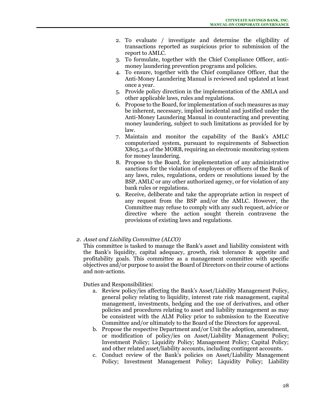- 2. To evaluate / investigate and determine the eligibility of transactions reported as suspicious prior to submission of the report to AMLC.
- 3. To formulate, together with the Chief Compliance Officer, antimoney laundering prevention programs and policies.
- 4. To ensure, together with the Chief compliance Officer, that the Anti-Money Laundering Manual is reviewed and updated at least once a year.
- 5. Provide policy direction in the implementation of the AMLA and other applicable laws, rules and regulations.
- 6. Propose to the Board, for implementation of such measures as may be inherent, necessary, implied incidental and justified under the Anti-Money Laundering Manual in counteracting and preventing money laundering, subject to such limitations as provided for by law.
- 7. Maintain and monitor the capability of the Bank's AMLC computerized system, pursuant to requirements of Subsection X805.3.a of the MORB, requiring an electronic monitoring system for money laundering.
- 8. Propose to the Board, for implementation of any administrative sanctions for the violation of employees or officers of the Bank of any laws, rules, regulations, orders or resolutions issued by the BSP, AMLC or any other authorized agency, or for violation of any bank rules or regulations.
- 9. Receive, deliberate and take the appropriate action in respect of any request from the BSP and/or the AMLC. However, the Committee may refuse to comply with any such request, advice or directive where the action sought therein contravene the provisions of existing laws and regulations.
- *2. Asset and Liability Committee (ALCO)*

This committee is tasked to manage the Bank's asset and liability consistent with the Bank's liquidity, capital adequacy, growth, risk tolerance & appetite and profitability goals. This committee as a management committee with specific objectives and/or purpose to assist the Board of Directors on their course of actions and non-actions.

- a. Review policy/ies affecting the Bank's Asset/Liability Management Policy, general policy relating to liquidity, interest rate risk management, capital management, investments, hedging and the use of derivatives, and other policies and procedures relating to asset and liability management as may be consistent with the ALM Policy prior to submission to the Executive Committee and/or ultimately to the Board of the Directors for approval.
- b. Propose the respective Department and/or Unit the adoption, amendment, or modification of policy/ies on Asset/Liability Management Policy; Investment Policy; Liquidity Policy; Management Policy; Capital Policy; and other related asset/liability accounts, including contingent accounts.
- c. Conduct review of the Bank's policies on Asset/Liability Management Policy; Investment Management Policy; Liquidity Policy; Liability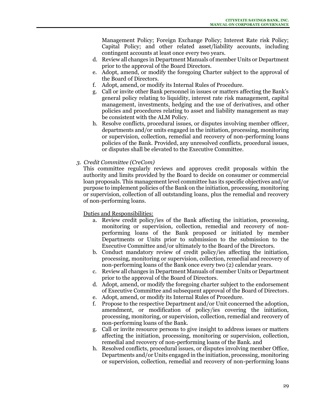Management Policy; Foreign Exchange Policy; Interest Rate risk Policy; Capital Policy; and other related asset/liability accounts, including contingent accounts at least once every two years.

- d. Review all changes in Department Manuals of member Units or Department prior to the approval of the Board Directors.
- e. Adopt, amend, or modify the foregoing Charter subject to the approval of the Board of Directors.
- f. Adopt, amend, or modify its Internal Rules of Procedure.
- g. Call or invite other Bank personnel in issues or matters affecting the Bank's general policy relating to liquidity, interest rate risk management, capital management, investments, hedging and the use of derivatives, and other policies and procedures relating to asset and liability management as may be consistent with the ALM Policy.
- h. Resolve conflicts, procedural issues, or disputes involving member officer, departments and/or units engaged in the initiation, processing, monitoring or supervision, collection, remedial and recovery of non-performing loans policies of the Bank. Provided, any unresolved conflicts, procedural issues, or disputes shall be elevated to the Executive Committee.
- *3. Credit Committee (CreCom)*

This committee regularly reviews and approves credit proposals within the authority and limits provided by the Board to decide on consumer or commercial loan proposals. This management level committee has its specific objectives and/or purpose to implement policies of the Bank on the initiation, processing, monitoring or supervision, collection of all outstanding loans, plus the remedial and recovery of non-performing loans.

- a. Review credit policy/ies of the Bank affecting the initiation, processing, monitoring or supervision, collection, remedial and recovery of nonperforming loans of the Bank proposed or initiated by member Departments or Units prior to submission to the submission to the Executive Committee and/or ultimately to the Board of the Directors.
- b. Conduct mandatory review of credit policy/ies affecting the initiation, processing, monitoring or supervision, collection, remedial and recovery of non-performing loans of the Bank once every two (2) calendar years.
- c. Review all changes in Department Manuals of member Units or Department prior to the approval of the Board of Directors.
- d. Adopt, amend, or modify the foregoing charter subject to the endorsement of Executive Committee and subsequent approval of the Board of Directors.
- e. Adopt, amend, or modify its Internal Rules of Procedure.
- f. Propose to the respective Department and/or Unit concerned the adoption, amendment, or modification of policy/ies covering the initiation, processing, monitoring, or supervision, collection, remedial and recovery of non-performing loans of the Bank.
- g. Call or invite resource persons to give insight to address issues or matters affecting the initiation, processing, monitoring or supervision, collection, remedial and recovery of non-performing loans of the Bank. and
- h. Resolved conflicts, procedural issues, or disputes involving member Office, Departments and/or Units engaged in the initiation, processing, monitoring or supervision, collection, remedial and recovery of non-performing loans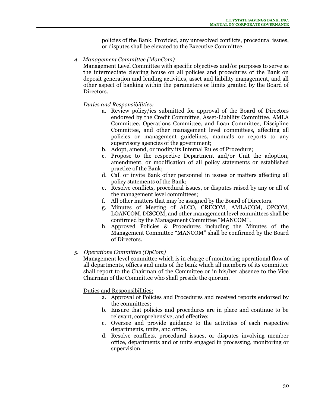policies of the Bank. Provided, any unresolved conflicts, procedural issues, or disputes shall be elevated to the Executive Committee.

*4. Management Committee (ManCom)*

Management Level Committee with specific objectives and/or purposes to serve as the intermediate clearing house on all policies and procedures of the Bank on deposit generation and lending activities, asset and liability management, and all other aspect of banking within the parameters or limits granted by the Board of Directors.

# *Duties and Responsibilities:*

- a. Review policy/ies submitted for approval of the Board of Directors endorsed by the Credit Committee, Asset-Liability Committee, AMLA Committee, Operations Committee, and Loan Committee, Discipline Committee, and other management level committees, affecting all policies or management guidelines, manuals or reports to any supervisory agencies of the government;
- b. Adopt, amend, or modify its Internal Rules of Procedure;
- c. Propose to the respective Department and/or Unit the adoption, amendment, or modification of all policy statements or established practice of the Bank;
- d. Call or invite Bank other personnel in issues or matters affecting all policy statements of the Bank;
- e. Resolve conflicts, procedural issues, or disputes raised by any or all of the management level committees;
- f. All other matters that may be assigned by the Board of Directors.
- g. Minutes of Meeting of ALCO, CRECOM, AMLACOM, OPCOM, LOANCOM, DISCOM, and other management level committees shall be confirmed by the Management Committee "MANCOM".
- h. Approved Policies & Procedures including the Minutes of the Management Committee "MANCOM" shall be confirmed by the Board of Directors.

# *5. Operations Committee (OpCom)*

Management level committee which is in charge of monitoring operational flow of all departments, offices and units of the bank which all members of its committee shall report to the Chairman of the Committee or in his/her absence to the Vice Chairman of the Committee who shall preside the quorum.

- a. Approval of Policies and Procedures and received reports endorsed by the committees;
- b. Ensure that policies and procedures are in place and continue to be relevant, comprehensive, and effective;
- c. Oversee and provide guidance to the activities of each respective departments, units, and office.
- d. Resolve conflicts, procedural issues, or disputes involving member office, departments and or units engaged in processing, monitoring or supervision.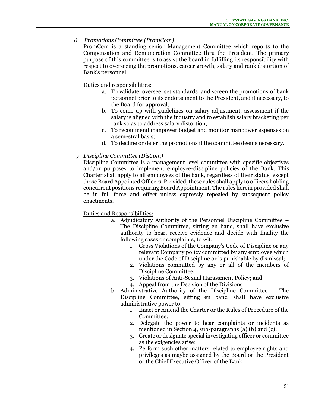## *6. Promotions Committee (PromCom)*

PromCom is a standing senior Management Committee which reports to the Compensation and Remuneration Committee thru the President. The primary purpose of this committee is to assist the board in fulfilling its responsibility with respect to overseeing the promotions, career growth, salary and rank distortion of Bank's personnel.

Duties and responsibilities:

- a. To validate, oversee, set standards, and screen the promotions of bank personnel prior to its endorsement to the President, and if necessary, to the Board for approval;
- b. To come up with guidelines on salary adjustment, assessment if the salary is aligned with the industry and to establish salary bracketing per rank so as to address salary distortion;
- c. To recommend manpower budget and monitor manpower expenses on a semestral basis;
- d. To decline or defer the promotions if the committee deems necessary.

## *7. Discipline Committee (DisCom)*

Discipline Committee is a management level committee with specific objectives and/or purposes to implement employee-discipline policies of the Bank. This Charter shall apply to all employees of the bank, regardless of their status, except those Board Appointed Officers. Provided, these rules shall apply to officers holding concurrent positions requiring Board Appointment. The rules herein provided shall be in full force and effect unless expressly repealed by subsequent policy enactments.

- a. Adjudicatory Authority of the Personnel Discipline Committee The Discipline Committee, sitting en banc, shall have exclusive authority to hear, receive evidence and decide with finality the following cases or complaints, to wit:
	- 1. Gross Violations of the Company's Code of Discipline or any relevant Company policy committed by any employee which under the Code of Discipline or is punishable by dismissal;
	- 2. Violations committed by any or all of the members of Discipline Committee;
	- 3. Violations of Anti-Sexual Harassment Policy; and
	- 4. Appeal from the Decision of the Divisions
- b. Administrative Authority of the Discipline Committee The Discipline Committee, sitting en banc, shall have exclusive administrative power to:
	- 1. Enact or Amend the Charter or the Rules of Procedure of the Committee;
	- 2. Delegate the power to hear complaints or incidents as mentioned in Section 4, sub-paragraphs (a) (b) and (c);
	- 3. Create or designate special investigating officer or committee as the exigencies arise;
	- 4. Perform such other matters related to employee rights and privileges as maybe assigned by the Board or the President or the Chief Executive Officer of the Bank.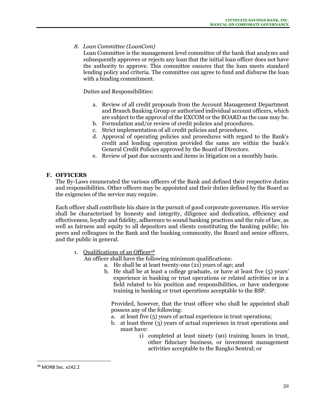*8. Loan Committee (LoanCom)*

Loan Committee is the management level committee of the bank that analyzes and subsequently approves or rejects any loan that the initial loan officer does not have the authority to approve. This committee ensures that the loan meets standard lending policy and criteria. The committee can agree to fund and disburse the loan with a binding commitment.

Duties and Responsibilities:

- a. Review of all credit proposals from the Account Management Department and Branch Banking Group or authorized individual account officers, which are subject to the approval of the EXCOM or the BOARD as the case may be.
- b. Formulation and/or review of credit policies and procedures.
- c. Strict implementation of all credit policies and procedures.
- d. Approval of operating policies and procedures with regard to the Bank's credit and lending operation provided the same are within the bank's General Credit Policies approved by the Board of Directors.
- e. Review of past due accounts and items in litigation on a monthly basis.

## **F. OFFICERS**

The By-Laws enumerated the various officers of the Bank and defined their respective duties and responsibilities. Other officers may be appointed and their duties defined by the Board as the exigencies of the service may require.

Each officer shall contribute his share in the pursuit of good corporate governance. His service shall be characterized by honesty and integrity, diligence and dedication, efficiency and effectiveness, loyalty and fidelity, adherence to sound banking practices and the rule of law, as well as fairness and equity to all depositors and clients constituting the banking public; his peers and colleagues in the Bank and the banking community, the Board and senior officers, and the public in general.

1. Qualifications of an Officer<sup>48</sup>

An officer shall have the following minimum qualifications:

- a. He shall be at least twenty-one (21) years of age; and
- b. He shall be at least a college graduate, or have at least five (5) years' experience in banking or trust operations or related activities or in a field related to his position and responsibilities, or have undergone training in banking or trust operations acceptable to the BSP.

Provided, however, that the trust officer who shall be appointed shall possess any of the following:

- a. at least five (5) years of actual experience in trust operations;
- b. at least three (3) years of actual experience in trust operations and must have:
	- 1) completed at least ninety (90) training hours in trust, other fiduciary business, or investment management activities acceptable to the Bangko Sentral; or

<sup>48</sup> MORB Sec. x142.2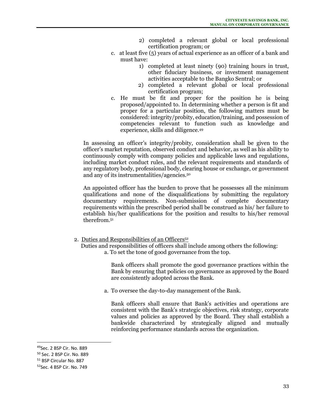- 2) completed a relevant global or local professional certification program; or
- c. at least five (5) years of actual experience as an officer of a bank and must have:
	- 1) completed at least ninety (90) training hours in trust, other fiduciary business, or investment management activities acceptable to the Bangko Sentral; or
	- 2) completed a relevant global or local professional certification program;
- c. He must be fit and proper for the position he is being proposed/appointed to. In determining whether a person is fit and proper for a particular position, the following matters must be considered: integrity/probity, education/training, and possession of competencies relevant to function such as knowledge and experience, skills and diligence.<sup>49</sup>

In assessing an officer's integrity/probity, consideration shall be given to the officer's market reputation, observed conduct and behavior, as well as his ability to continuously comply with company policies and applicable laws and regulations, including market conduct rules, and the relevant requirements and standards of any regulatory body, professional body, clearing house or exchange, or government and any of its instrumentalities/agencies.<sup>50</sup>

An appointed officer has the burden to prove that he possesses all the minimum qualifications and none of the disqualifications by submitting the regulatory documentary requirements. Non-submission of complete documentary requirements within the prescribed period shall be construed as his/ her failure to establish his/her qualifications for the position and results to his/her removal therefrom. 51

- 2. Duties and Responsibilities of an Officers<sup>52</sup>
	- Duties and responsibilities of officers shall include among others the following: a. To set the tone of good governance from the top.

Bank officers shall promote the good governance practices within the Bank by ensuring that policies on governance as approved by the Board are consistently adopted across the Bank.

a. To oversee the day-to-day management of the Bank.

Bank officers shall ensure that Bank's activities and operations are consistent with the Bank's strategic objectives, risk strategy, corporate values and policies as approved by the Board. They shall establish a bankwide characterized by strategically aligned and mutually reinforcing performance standards across the organization.

<sup>49</sup>Sec. 2 BSP Cir. No. 889

<sup>50</sup> Sec. 2 BSP Cir. No. 889

<sup>51</sup> BSP Circular No. 887

<sup>52</sup>Sec. 4 BSP Cir. No. 749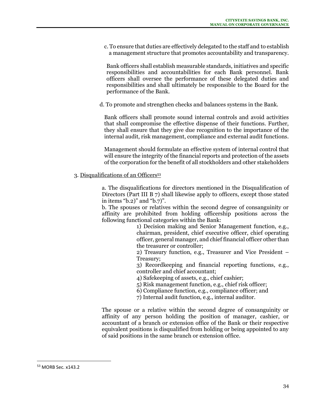c. To ensure that duties are effectively delegated to the staff and to establish a management structure that promotes accountability and transparency.

Bank officers shall establish measurable standards, initiatives and specific responsibilities and accountabilities for each Bank personnel. Bank officers shall oversee the performance of these delegated duties and responsibilities and shall ultimately be responsible to the Board for the performance of the Bank.

d. To promote and strengthen checks and balances systems in the Bank.

Bank officers shall promote sound internal controls and avoid activities that shall compromise the effective dispense of their functions. Further, they shall ensure that they give due recognition to the importance of the internal audit, risk management, compliance and external audit functions.

Management should formulate an effective system of internal control that will ensure the integrity of the financial reports and protection of the assets of the corporation for the benefit of all stockholders and other stakeholders

#### 3. Disqualifications of an Officers<sup>53</sup>

a. The disqualifications for directors mentioned in the Disqualification of Directors (Part III B 7) shall likewise apply to officers, except those stated in items "b.2)" and "b.7)".

b. The spouses or relatives within the second degree of consanguinity or affinity are prohibited from holding officership positions across the following functional categories within the Bank:

1) Decision making and Senior Management function, e.g., chairman, president, chief executive officer, chief operating officer, general manager, and chief financial officer other than the treasurer or controller;

2) Treasury function, e.g., Treasurer and Vice President – Treasury;

3) Recordkeeping and financial reporting functions, e.g., controller and chief accountant;

4) Safekeeping of assets, e.g., chief cashier;

5) Risk management function, e.g., chief risk officer;

6) Compliance function, e.g., compliance officer; and

7) Internal audit function, e.g., internal auditor.

The spouse or a relative within the second degree of consanguinity or affinity of any person holding the position of manager, cashier, or accountant of a branch or extension office of the Bank or their respective equivalent positions is disqualified from holding or being appointed to any of said positions in the same branch or extension office.

<sup>53</sup> MORB Sec. x143.2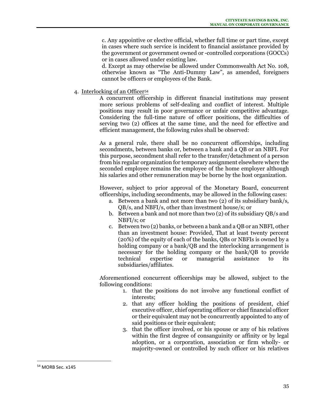c. Any appointive or elective official, whether full time or part time, except in cases where such service is incident to financial assistance provided by the government or government owned or -controlled corporations (GOCCs) or in cases allowed under existing law.

d. Except as may otherwise be allowed under Commonwealth Act No. 108, otherwise known as "The Anti-Dummy Law", as amended, foreigners cannot be officers or employees of the Bank.

4. Interlocking of an Officer<sup>54</sup>

A concurrent officership in different financial institutions may present more serious problems of self-dealing and conflict of interest. Multiple positions may result in poor governance or unfair competitive advantage. Considering the full-time nature of officer positions, the difficulties of serving two (2) offices at the same time, and the need for effective and efficient management, the following rules shall be observed:

As a general rule, there shall be no concurrent officerships, including secondments, between banks or, between a bank and a QB or an NBFI. For this purpose, secondment shall refer to the transfer/detachment of a person from his regular organization for temporary assignment elsewhere where the seconded employee remains the employee of the home employer although his salaries and other remuneration may be borne by the host organization.

However, subject to prior approval of the Monetary Board, concurrent officerships, including secondments, may be allowed in the following cases:

- a. Between a bank and not more than two (2) of its subsidiary bank/s, QB/s, and NBFI/s, other than investment house/s; or
- b. Between a bank and not more than two (2) of its subsidiary QB/s and NBFI/s; or
- c. Between two (2) banks, or between a bank and a QB or an NBFI, other than an investment house: Provided, That at least twenty percent (20%) of the equity of each of the banks, QBs or NBFIs is owned by a holding company or a bank/QB and the interlocking arrangement is necessary for the holding company or the bank/QB to provide technical expertise or managerial assistance to its subsidiaries/affiliates.

Aforementioned concurrent officerships may be allowed, subject to the following conditions:

- 1. that the positions do not involve any functional conflict of interests;
- 2. that any officer holding the positions of president, chief executive officer, chief operating officer or chief financial officer or their equivalent may not be concurrently appointed to any of said positions or their equivalent;
- 3. that the officer involved, or his spouse or any of his relatives within the first degree of consanguinity or affinity or by legal adoption, or a corporation, association or firm wholly- or majority-owned or controlled by such officer or his relatives

<sup>54</sup> MORB Sec. x145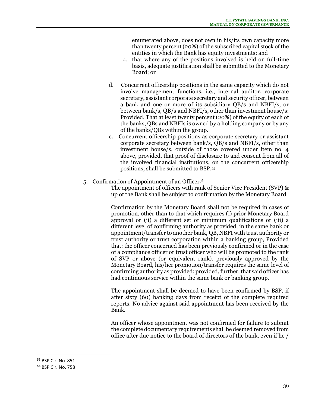enumerated above, does not own in his/its own capacity more than twenty percent (20%) of the subscribed capital stock of the entities in which the Bank has equity investments; and

- 4. that where any of the positions involved is held on full-time basis, adequate justification shall be submitted to the Monetary Board; or
- d. Concurrent officership positions in the same capacity which do not involve management functions, i.e., internal auditor, corporate secretary, assistant corporate secretary and security officer, between a bank and one or more of its subsidiary QB/s and NBFI/s, or between bank/s, QB/s and NBFI/s, other than investment house/s: Provided, That at least twenty percent (20%) of the equity of each of the banks, QBs and NBFIs is owned by a holding company or by any of the banks/QBs within the group.
- e. Concurrent officership positions as corporate secretary or assistant corporate secretary between bank/s, QB/s and NBFI/s, other than investment house/s, outside of those covered under item no. 4 above, provided, that proof of disclosure to and consent from all of the involved financial institutions, on the concurrent officership positions, shall be submitted to BSP.<sup>55</sup>
- 5. Confirmation of Appointment of an Officer<sup>56</sup>

The appointment of officers with rank of Senior Vice President (SVP) & up of the Bank shall be subject to confirmation by the Monetary Board.

Confirmation by the Monetary Board shall not be required in cases of promotion, other than to that which requires (i) prior Monetary Board approval or (ii) a different set of minimum qualifications or (iii) a different level of confirming authority as provided, in the same bank or appointment/transfer to another bank, QB, NBFI with trust authority or trust authority or trust corporation within a banking group, Provided that: the officer concerned has been previously confirmed or in the case of a compliance officer or trust officer who will be promoted to the rank of SVP or above (or equivalent rank), previously approved by the Monetary Board, his/her promotion/transfer requires the same level of confirming authority as provided: provided, further, that said officer has had continuous service within the same bank or banking group.

The appointment shall be deemed to have been confirmed by BSP, if after sixty (60) banking days from receipt of the complete required reports. No advice against said appointment has been received by the Bank.

An officer whose appointment was not confirmed for failure to submit the complete documentary requirements shall be deemed removed from office after due notice to the board of directors of the bank, even if he /

<sup>55</sup> BSP Cir. No. 851

<sup>56</sup> BSP Cir. No. 758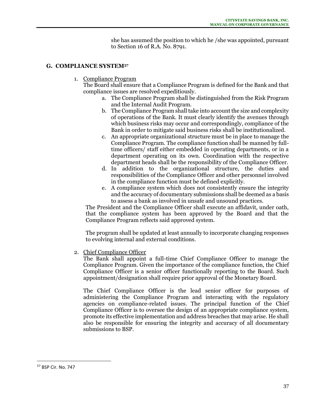she has assumed the position to which he /she was appointed, pursuant to Section 16 of R.A. No. 8791.

#### **G. COMPLIANCE SYSTEM<sup>57</sup>**

1. Compliance Program

The Board shall ensure that a Compliance Program is defined for the Bank and that compliance issues are resolved expeditiously.

- a. The Compliance Program shall be distinguished from the Risk Program and the Internal Audit Program.
- b. The Compliance Program shall take into account the size and complexity of operations of the Bank. It must clearly identify the avenues through which business risks may occur and correspondingly, compliance of the Bank in order to mitigate said business risks shall be institutionalized.
- c. An appropriate organizational structure must be in place to manage the Compliance Program. The compliance function shall be manned by fulltime officers/ staff either embedded in operating departments, or in a department operating on its own. Coordination with the respective department heads shall be the responsibility of the Compliance Officer.
- d. In addition to the organizational structure, the duties and responsibilities of the Compliance Officer and other personnel involved in the compliance function must be defined explicitly.
- e. A compliance system which does not consistently ensure the integrity and the accuracy of documentary submissions shall be deemed as a basis to assess a bank as involved in unsafe and unsound practices.

The President and the Compliance Officer shall execute an affidavit, under oath, that the compliance system has been approved by the Board and that the Compliance Program reflects said approved system.

The program shall be updated at least annually to incorporate changing responses to evolving internal and external conditions.

2. Chief Compliance Officer

The Bank shall appoint a full-time Chief Compliance Officer to manage the Compliance Program. Given the importance of the compliance function, the Chief Compliance Officer is a senior officer functionally reporting to the Board. Such appointment/designation shall require prior approval of the Monetary Board.

The Chief Compliance Officer is the lead senior officer for purposes of administering the Compliance Program and interacting with the regulatory agencies on compliance-related issues. The principal function of the Chief Compliance Officer is to oversee the design of an appropriate compliance system, promote its effective implementation and address breaches that may arise. He shall also be responsible for ensuring the integrity and accuracy of all documentary submissions to BSP.

<sup>57</sup> BSP Cir. No. 747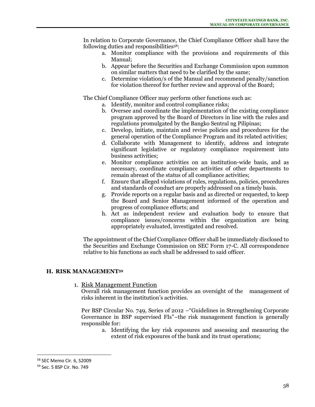In relation to Corporate Governance, the Chief Compliance Officer shall have the following duties and responsibilities<sup>58</sup>:

- a. Monitor compliance with the provisions and requirements of this Manual;
- b. Appear before the Securities and Exchange Commission upon summon on similar matters that need to be clarified by the same;
- c. Determine violation/s of the Manual and recommend penalty/sanction for violation thereof for further review and approval of the Board;

The Chief Compliance Officer may perform other functions such as:

- a. Identify, monitor and control compliance risks;
- b. Oversee and coordinate the implementation of the existing compliance program approved by the Board of Directors in line with the rules and regulations promulgated by the Bangko Sentral ng Pilipinas;
- c. Develop, initiate, maintain and revise policies and procedures for the general operation of the Compliance Program and its related activities;
- d. Collaborate with Management to identify, address and integrate significant legislative or regulatory compliance requirement into business activities;
- e. Monitor compliance activities on an institution-wide basis, and as necessary, coordinate compliance activities of other departments to remain abreast of the status of all compliance activities;
- f. Ensure that alleged violations of rules, regulations, policies, procedures and standards of conduct are properly addressed on a timely basis.
- g. Provide reports on a regular basis and as directed or requested, to keep the Board and Senior Management informed of the operation and progress of compliance efforts; and
- h. Act as independent review and evaluation body to ensure that compliance issues/concerns within the organization are being appropriately evaluated, investigated and resolved.

The appointment of the Chief Compliance Officer shall be immediately disclosed to the Securities and Exchange Commission on SEC Form 17-C. All correspondence relative to his functions as such shall be addressed to said officer.

## **H. RISK MANAGEMENT<sup>59</sup>**

## 1. Risk Management Function

Overall risk management function provides an oversight of the management of risks inherent in the institution's activities.

Per BSP Circular No. 749, Series of 2012 –"Guidelines in Strengthening Corporate Governance in BSP supervised FIs"–the risk management function is generally responsible for:

a. Identifying the key risk exposures and assessing and measuring the extent of risk exposures of the bank and its trust operations;

<sup>58</sup> SEC Memo Cir. 6, S2009

<sup>59</sup> Sec. 5 BSP Cir. No. 749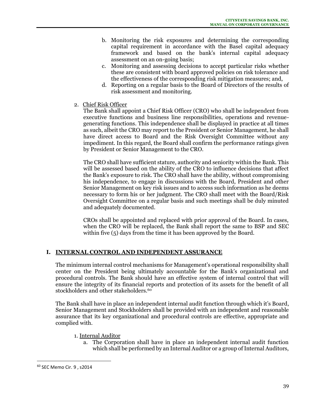- b. Monitoring the risk exposures and determining the corresponding capital requirement in accordance with the Basel capital adequacy framework and based on the bank's internal capital adequacy assessment on an on-going basis;
- c. Monitoring and assessing decisions to accept particular risks whether these are consistent with board approved policies on risk tolerance and the effectiveness of the corresponding risk mitigation measures; and,
- d. Reporting on a regular basis to the Board of Directors of the results of risk assessment and monitoring.
- 2. Chief Risk Officer

The Bank shall appoint a Chief Risk Officer (CRO) who shall be independent from executive functions and business line responsibilities, operations and revenuegenerating functions. This independence shall be displayed in practice at all times as such, albeit the CRO may report to the President or Senior Management, he shall have direct access to Board and the Risk Oversight Committee without any impediment. In this regard, the Board shall confirm the performance ratings given by President or Senior Management to the CRO.

The CRO shall have sufficient stature, authority and seniority within the Bank. This will be assessed based on the ability of the CRO to influence decisions that affect the Bank's exposure to risk. The CRO shall have the ability, without compromising his independence, to engage in discussions with the Board, President and other Senior Management on key risk issues and to access such information as he deems necessary to form his or her judgment. The CRO shall meet with the Board/Risk Oversight Committee on a regular basis and such meetings shall be duly minuted and adequately documented.

CROs shall be appointed and replaced with prior approval of the Board. In cases, when the CRO will be replaced, the Bank shall report the same to BSP and SEC within five (5) days from the time it has been approved by the Board.

# **I. INTERNAL CONTROL AND INDEPENDENT ASSURANCE**

The minimum internal control mechanisms for Management's operational responsibility shall center on the President being ultimately accountable for the Bank's organizational and procedural controls. The Bank should have an effective system of internal control that will ensure the integrity of its financial reports and protection of its assets for the benefit of all stockholders and other stakeholders.<sup>60</sup>

The Bank shall have in place an independent internal audit function through which it's Board, Senior Management and Stockholders shall be provided with an independent and reasonable assurance that its key organizational and procedural controls are effective, appropriate and complied with.

- 1. Internal Auditor
	- a. The Corporation shall have in place an independent internal audit function which shall be performed by an Internal Auditor or a group of Internal Auditors,

<sup>60</sup> SEC Memo Cir. 9 , s2014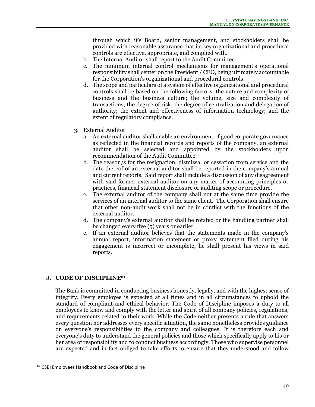through which it's Board, senior management, and stockholders shall be provided with reasonable assurance that its key organizational and procedural controls are effective, appropriate, and complied with.

- b. The Internal Auditor shall report to the Audit Committee.
- c. The minimum internal control mechanisms for management's operational responsibility shall center on the President / CEO, being ultimately accountable for the Corporation's organizational and procedural controls.
- d. The scope and particulars of a system of effective organizational and procedural controls shall be based on the following factors: the nature and complexity of business and the business culture; the volume, size and complexity of transactions; the degree of risk; the degree of centralization and delegation of authority; the extent and effectiveness of information technology; and the extent of regulatory compliance.
- 3. External Auditor
	- a. An external auditor shall enable an environment of good corporate governance as reflected in the financial records and reports of the company, an external auditor shall be selected and appointed by the stockholders upon recommendation of the Audit Committee.
	- b. The reason/s for the resignation, dismissal or cessation from service and the date thereof of an external auditor shall be reported in the company's annual and current reports. Said report shall include a discussion of any disagreement with said former external auditor on any matter of accounting principles or practices, financial statement disclosure or auditing scope or procedure.
	- c. The external auditor of the company shall not at the same time provide the services of an internal auditor to the same client. The Corporation shall ensure that other non-audit work shall not be in conflict with the functions of the external auditor.
	- d. The company's external auditor shall be rotated or the handling partner shall be changed every five (5) years or earlier.
	- e. If an external auditor believes that the statements made in the company's annual report, information statement or proxy statement filed during his engagement is incorrect or incomplete, he shall present his views in said reports.

# **J. CODE OF DISCIPLINE<sup>61</sup>**

The Bank is committed in conducting business honestly, legally, and with the highest sense of integrity. Every employee is expected at all times and in all circumstances to uphold the standard of compliant and ethical behavior. The Code of Discipline imposes a duty to all employees to know and comply with the letter and spirit of all company policies, regulations, and requirements related to their work. While the Code neither presents a rule that answers every question nor addresses every specific situation, the same nonetheless provides guidance on everyone's responsibilities to the company and colleagues. It is therefore each and everyone's duty to understand the general policies and those which specifically apply to his or her area of responsibility and to conduct business accordingly. Those who supervise personnel are expected and in fact obliged to take efforts to ensure that they understood and follow

<sup>&</sup>lt;sup>61</sup> CSBI Employees Handbook and Code of Discipline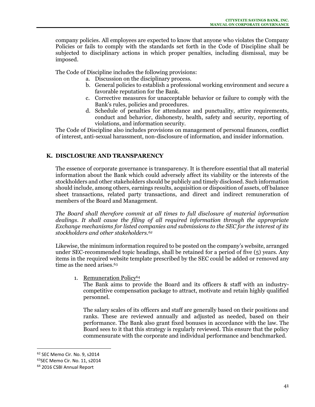company policies. All employees are expected to know that anyone who violates the Company Policies or fails to comply with the standards set forth in the Code of Discipline shall be subjected to disciplinary actions in which proper penalties, including dismissal, may be imposed.

The Code of Discipline includes the following provisions:

- a. Discussion on the disciplinary process.
- b. General policies to establish a professional working environment and secure a favorable reputation for the Bank.
- c. Corrective measures for unacceptable behavior or failure to comply with the Bank's rules, policies and procedures.
- d. Schedule of penalties for attendance and punctuality, attire requirements, conduct and behavior, dishonesty, health, safety and security, reporting of violations, and information security.

The Code of Discipline also includes provisions on management of personal finances, conflict of interest, anti-sexual harassment, non-disclosure of information, and insider information.

## **K. DISCLOSURE AND TRANSPARENCY**

The essence of corporate governance is transparency. It is therefore essential that all material information about the Bank which could adversely affect its viability or the interests of the stockholders and other stakeholders should be publicly and timely disclosed. Such information should include, among others, earnings results, acquisition or disposition of assets, off balance sheet transactions, related party transactions, and direct and indirect remuneration of members of the Board and Management.

*The Board shall therefore commit at all times to full disclosure of material information dealings. It shall cause the filing of all required information through the appropriate Exchange mechanisms for listed companies and submissions to the SEC for the interest of its stockholders and other stakeholders.<sup>62</sup>*

Likewise, the minimum information required to be posted on the company's website, arranged under SEC-recommended topic headings, shall be retained for a period of five (5) years. Any items in the required website template prescribed by the SEC could be added or removed any time as the need arises.<sup>63</sup>

1. Remuneration Policy<sup>64</sup>

The Bank aims to provide the Board and its officers & staff with an industrycompetitive compensation package to attract, motivate and retain highly qualified personnel.

The salary scales of its officers and staff are generally based on their positions and ranks. These are reviewed annually and adjusted as needed, based on their performance. The Bank also grant fixed bonuses in accordance with the law. The Board sees to it that this strategy is regularly reviewed. This ensure that the policy commensurate with the corporate and individual performance and benchmarked.

<sup>62</sup> SEC Memo Cir. No. 9, s2014

<sup>63</sup>SEC Memo Cir. No. 11, s2014

<sup>64</sup> 2016 CSBI Annual Report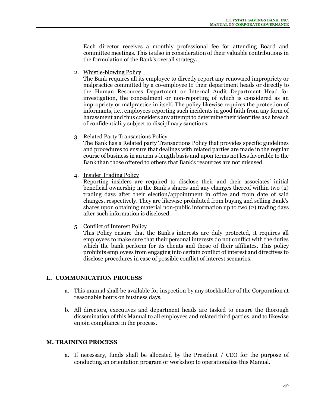Each director receives a monthly professional fee for attending Board and committee meetings. This is also in consideration of their valuable contributions in the formulation of the Bank's overall strategy.

2. Whistle-blowing Policy

The Bank requires all its employee to directly report any renowned impropriety or malpractice committed by a co-employee to their department heads or directly to the Human Resources Department or Internal Audit Department Head for investigation, the concealment or non-reporting of which is considered as an impropriety or malpractice in itself. The policy likewise requires the protection of informants, i.e., employees reporting such incidents in good faith from any form of harassment and thus considers any attempt to determine their identities as a breach of confidentiality subject to disciplinary sanctions.

3. Related Party Transactions Policy

The Bank has a Related party Transactions Policy that provides specific guidelines and procedures to ensure that dealings with related parties are made in the regular course of business in an arm's-length basis and upon terms not less favorable to the Bank than those offered to others that Bank's resources are not misused.

4. Insider Trading Policy

Reporting insiders are required to disclose their and their associates' initial beneficial ownership in the Bank's shares and any changes thereof within two (2) trading days after their election/appointment in office and from date of said changes, respectively. They are likewise prohibited from buying and selling Bank's shares upon obtaining material non-public information up to two (2) trading days after such information is disclosed.

5. Conflict of Interest Policy

This Policy ensure that the Bank's interests are duly protected, it requires all employees to make sure that their personal interests do not conflict with the duties which the bank perform for its clients and those of their affiliates. This policy prohibits employees from engaging into certain conflict of interest and directives to disclose procedures in case of possible conflict of interest scenarios.

## **L. COMMUNICATION PROCESS**

- a. This manual shall be available for inspection by any stockholder of the Corporation at reasonable hours on business days.
- b. All directors, executives and department heads are tasked to ensure the thorough dissemination of this Manual to all employees and related third parties, and to likewise enjoin compliance in the process.

## **M. TRAINING PROCESS**

a. If necessary, funds shall be allocated by the President / CEO for the purpose of conducting an orientation program or workshop to operationalize this Manual.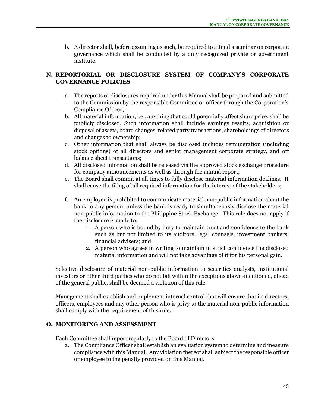b. A director shall, before assuming as such, be required to attend a seminar on corporate governance which shall be conducted by a duly recognized private or government institute.

# **N. REPORTORIAL OR DISCLOSURE SYSTEM OF COMPANY'S CORPORATE GOVERNANCE POLICIES**

- a. The reports or disclosures required under this Manual shall be prepared and submitted to the Commission by the responsible Committee or officer through the Corporation's Compliance Officer;
- b. All material information, i.e., anything that could potentially affect share price, shall be publicly disclosed. Such information shall include earnings results, acquisition or disposal of assets, board changes, related party transactions, shareholdings of directors and changes to ownership;
- c. Other information that shall always be disclosed includes remuneration (including stock options) of all directors and senior management corporate strategy, and off balance sheet transactions;
- d. All disclosed information shall be released via the approved stock exchange procedure for company announcements as well as through the annual report;
- e. The Board shall commit at all times to fully disclose material information dealings. It shall cause the filing of all required information for the interest of the stakeholders;
- f. An employee is prohibited to communicate material non-public information about the bank to any person, unless the bank is ready to simultaneously disclose the material non-public information to the Philippine Stock Exchange. This rule does not apply if the disclosure is made to:
	- 1. A person who is bound by duty to maintain trust and confidence to the bank such as but not limited to its auditors, legal counsels, investment bankers, financial advisers; and
	- 2. A person who agrees in writing to maintain in strict confidence the disclosed material information and will not take advantage of it for his personal gain.

Selective disclosure of material non-public information to securities analysts, institutional investors or other third parties who do not fall within the exceptions above-mentioned, ahead of the general public, shall be deemed a violation of this rule.

Management shall establish and implement internal control that will ensure that its directors, officers, employees and any other person who is privy to the material non-public information shall comply with the requirement of this rule.

# **O. MONITORING AND ASSESSMENT**

Each Committee shall report regularly to the Board of Directors.

a. The Compliance Officer shall establish an evaluation system to determine and measure compliance with this Manual. Any violation thereof shall subject the responsible officer or employee to the penalty provided on this Manual.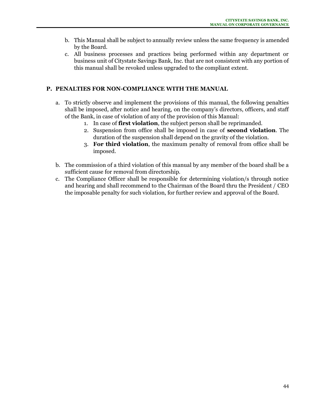- b. This Manual shall be subject to annually review unless the same frequency is amended by the Board.
- c. All business processes and practices being performed within any department or business unit of Citystate Savings Bank, Inc. that are not consistent with any portion of this manual shall be revoked unless upgraded to the compliant extent.

# **P. PENALTIES FOR NON-COMPLIANCE WITH THE MANUAL**

- a. To strictly observe and implement the provisions of this manual, the following penalties shall be imposed, after notice and hearing, on the company's directors, officers, and staff of the Bank, in case of violation of any of the provision of this Manual:
	- 1. In case of **first violation**, the subject person shall be reprimanded.
	- 2. Suspension from office shall be imposed in case of **second violation**. The duration of the suspension shall depend on the gravity of the violation.
	- 3. **For third violation**, the maximum penalty of removal from office shall be imposed.
- b. The commission of a third violation of this manual by any member of the board shall be a sufficient cause for removal from directorship.
- c. The Compliance Officer shall be responsible for determining violation/s through notice and hearing and shall recommend to the Chairman of the Board thru the President / CEO the imposable penalty for such violation, for further review and approval of the Board.